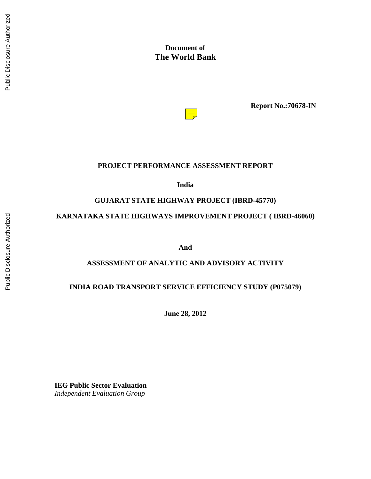### **Document of The World Bank**



**Report No.:70678-IN**

#### **PROJECT PERFORMANCE ASSESSMENT REPORT**

**India**

#### **GUJARAT STATE HIGHWAY PROJECT (IBRD-45770)**

#### **KARNATAKA STATE HIGHWAYS IMPROVEMENT PROJECT ( IBRD-46060)**

**And**

#### **ASSESSMENT OF ANALYTIC AND ADVISORY ACTIVITY**

#### **INDIA ROAD TRANSPORT SERVICE EFFICIENCY STUDY (P075079)**

**June 28, 2012**

**IEG Public Sector Evaluation** *Independent Evaluation Group*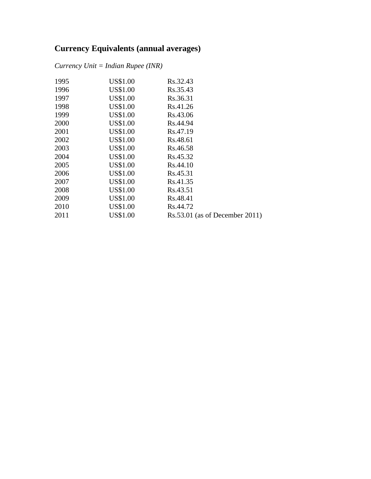### **Currency Equivalents (annual averages)**

*Currency Unit = Indian Rupee (INR)*

| 1995 | US\$1.00        | Rs.32.43                         |
|------|-----------------|----------------------------------|
| 1996 | US\$1.00        | Rs.35.43                         |
| 1997 | <b>US\$1.00</b> | Rs.36.31                         |
| 1998 | US\$1.00        | Rs.41.26                         |
| 1999 | US\$1.00        | Rs.43.06                         |
| 2000 | US\$1.00        | Rs.44.94                         |
| 2001 | US\$1.00        | Rs.47.19                         |
| 2002 | <b>US\$1.00</b> | Rs.48.61                         |
| 2003 | US\$1.00        | Rs.46.58                         |
| 2004 | US\$1.00        | Rs.45.32                         |
| 2005 | US\$1.00        | Rs.44.10                         |
| 2006 | US\$1.00        | Rs.45.31                         |
| 2007 | US\$1.00        | Rs.41.35                         |
| 2008 | US\$1.00        | Rs.43.51                         |
| 2009 | US\$1.00        | Rs.48.41                         |
| 2010 | US\$1.00        | Rs.44.72                         |
| 2011 | <b>US\$1.00</b> | $Rs.53.01$ (as of December 2011) |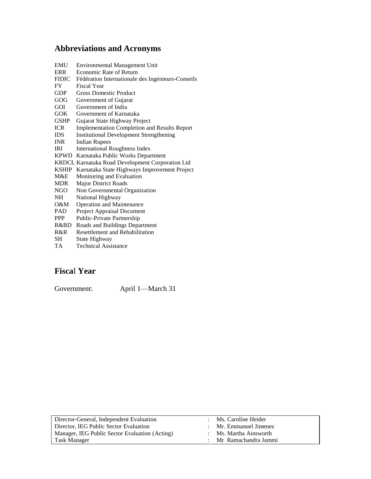### **Abbreviations and Acronyms**

| <b>EMU</b>   | <b>Environmental Management Unit</b>                |  |  |
|--------------|-----------------------------------------------------|--|--|
| ERR          | Economic Rate of Return                             |  |  |
| <b>FIDIC</b> | Fédération Internationale des Ingénieurs-Conseils   |  |  |
| <b>FY</b>    | Fiscal Year                                         |  |  |
| <b>GDP</b>   | <b>Gross Domestic Product</b>                       |  |  |
| GOG          | Government of Gujarat                               |  |  |
| GOL          | Government of India                                 |  |  |
| GOK          | Government of Karnataka                             |  |  |
| <b>GSHP</b>  | Gujarat State Highway Project                       |  |  |
| <b>ICR</b>   | <b>Implementation Completion and Results Report</b> |  |  |
| <b>IDS</b>   | <b>Institutional Development Strengthening</b>      |  |  |
| <b>INR</b>   | <b>Indian Rupees</b>                                |  |  |
| <b>IRI</b>   | <b>International Roughness Index</b>                |  |  |
|              | KPWD Karnataka Public Works Department              |  |  |
|              | KRDCL Karnataka Road Development Corporation Ltd    |  |  |
| <b>KSHIP</b> | Karnataka State Highways Improvement Project        |  |  |
| M&E          | Monitoring and Evaluation                           |  |  |
| <b>MDR</b>   | <b>Major District Roads</b>                         |  |  |
| NGO -        | Non Governmental Organization                       |  |  |
| <b>NH</b>    | National Highway                                    |  |  |
| O&M –        | <b>Operation and Maintenance</b>                    |  |  |
| <b>PAD</b>   | Project Appraisal Document                          |  |  |
| <b>PPP</b>   | Public-Private Partnership                          |  |  |
| R&BD.        | Roads and Buildings Department                      |  |  |
| R&R          | <b>Resettlement and Rehabilitation</b>              |  |  |
| SН           | State Highway                                       |  |  |
|              |                                                     |  |  |

TA Technical Assistance

### **Fisca**l **Year**

Government: April 1—March 31

| Director-General, Independent Evaluation       | $:$ Ms. Caroline Heider  |
|------------------------------------------------|--------------------------|
| Director, IEG Public Sector Evaluation         | $:$ Mr. Emmanuel Jimenez |
| Manager, IEG Public Sector Evaluation (Acting) | : Ms. Martha Ainsworth   |
| Task Manager                                   | : Mr Ramachandra Jammi   |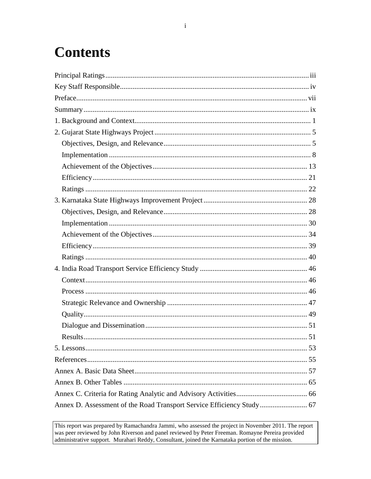# **Contents**

| Annex D. Assessment of the Road Transport Service Efficiency Study 67 |  |
|-----------------------------------------------------------------------|--|

This report was prepared by Ramachandra Jammi, who assessed the project in November 2011. The report was peer reviewed by John Riverson and panel reviewed by Peter Freeman. Romayne Pereira provided administrative support. Murahari Reddy, Consultant, joined the Karnataka portion of the mission.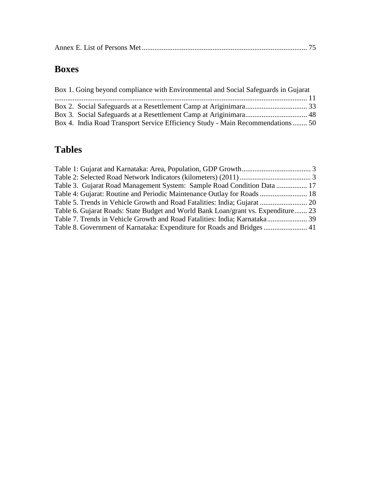## **Boxes**

| Box 1. Going beyond compliance with Environmental and Social Safeguards in Gujarat |  |
|------------------------------------------------------------------------------------|--|
|                                                                                    |  |
|                                                                                    |  |
|                                                                                    |  |
| Box 4. India Road Transport Service Efficiency Study - Main Recommendations  50    |  |

## **Tables**

| Table 3. Gujarat Road Management System: Sample Road Condition Data  17           |  |
|-----------------------------------------------------------------------------------|--|
| Table 4: Gujarat: Routine and Periodic Maintenance Outlay for Roads  18           |  |
| Table 5. Trends in Vehicle Growth and Road Fatalities: India; Gujarat  20         |  |
| Table 6. Gujarat Roads: State Budget and World Bank Loan/grant vs. Expenditure 23 |  |
| Table 7. Trends in Vehicle Growth and Road Fatalities: India; Karnataka 39        |  |
| Table 8. Government of Karnataka: Expenditure for Roads and Bridges  41           |  |
|                                                                                   |  |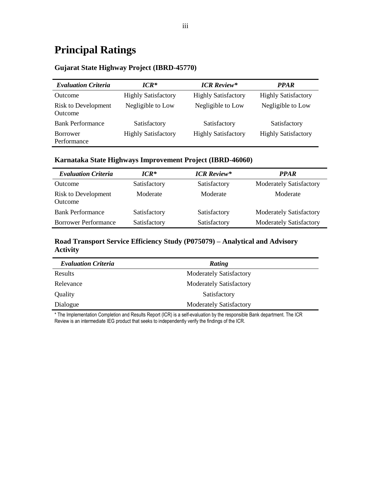## <span id="page-6-0"></span>**Principal Ratings**

#### **Gujarat State Highway Project (IBRD-45770)**

| <b>Evaluation Criteria</b>            | $ICR^*$                    | <b>ICR Review*</b>         | <b>PPAR</b>                |
|---------------------------------------|----------------------------|----------------------------|----------------------------|
| <b>Outcome</b>                        | <b>Highly Satisfactory</b> | <b>Highly Satisfactory</b> | <b>Highly Satisfactory</b> |
| <b>Risk to Development</b><br>Outcome | Negligible to Low          | Negligible to Low          | Negligible to Low          |
| <b>Bank Performance</b>               | Satisfactory               | Satisfactory               | Satisfactory               |
| <b>Borrower</b><br>Performance        | <b>Highly Satisfactory</b> | <b>Highly Satisfactory</b> | <b>Highly Satisfactory</b> |

#### **Karnataka State Highways Improvement Project (IBRD-46060)**

| <b>Evaluation Criteria</b>                   | $ICR*$       | <b>ICR</b> Review* | <b>PPAR</b>                    |
|----------------------------------------------|--------------|--------------------|--------------------------------|
| <b>Outcome</b>                               | Satisfactory | Satisfactory       | <b>Moderately Satisfactory</b> |
| <b>Risk to Development</b><br><b>Outcome</b> | Moderate     | Moderate           | Moderate                       |
| <b>Bank Performance</b>                      | Satisfactory | Satisfactory       | <b>Moderately Satisfactory</b> |
| <b>Borrower Performance</b>                  | Satisfactory | Satisfactory       | <b>Moderately Satisfactory</b> |

#### **Road Transport Service Efficiency Study (P075079) – Analytical and Advisory Activity**

| <b>Evaluation Criteria</b> | Rating                         |
|----------------------------|--------------------------------|
| Results                    | <b>Moderately Satisfactory</b> |
| Relevance                  | <b>Moderately Satisfactory</b> |
| Quality                    | Satisfactory                   |
| Dialogue                   | <b>Moderately Satisfactory</b> |

\* The Implementation Completion and Results Report (ICR) is a self-evaluation by the responsible Bank department. The ICR Review is an intermediate IEG product that seeks to independently verify the findings of the ICR.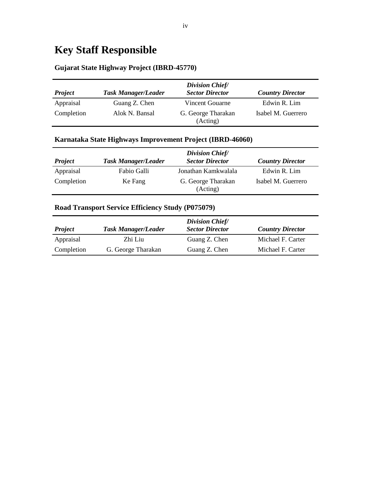## <span id="page-7-0"></span>**Key Staff Responsible**

#### **Gujarat State Highway Project (IBRD-45770)**

| <b>Project</b> | <b>Task Manager/Leader</b> | <b>Division Chief/</b><br><b>Sector Director</b> | <b>Country Director</b> |
|----------------|----------------------------|--------------------------------------------------|-------------------------|
| Appraisal      | Guang Z. Chen              | Vincent Gouarne                                  | Edwin R. Lim            |
| Completion     | Alok N. Bansal             | G. George Tharakan<br>(Acting)                   | Isabel M. Guerrero      |

#### **Karnataka State Highways Improvement Project (IBRD-46060)**

|                |                            | Division Chief/                |                         |
|----------------|----------------------------|--------------------------------|-------------------------|
| <b>Project</b> | <b>Task Manager/Leader</b> | <b>Sector Director</b>         | <b>Country Director</b> |
| Appraisal      | Fabio Galli                | Jonathan Kamkwalala            | Edwin R. Lim            |
| Completion     | Ke Fang                    | G. George Tharakan<br>(Acting) | Isabel M. Guerrero      |

#### **Road Transport Service Efficiency Study (P075079)**

|                |                            | <b>Division Chief/</b> |                         |
|----------------|----------------------------|------------------------|-------------------------|
| <b>Project</b> | <b>Task Manager/Leader</b> | <b>Sector Director</b> | <b>Country Director</b> |
| Appraisal      | Zhi Liu                    | Guang Z. Chen          | Michael F. Carter       |
| Completion     | G. George Tharakan         | Guang Z. Chen          | Michael F. Carter       |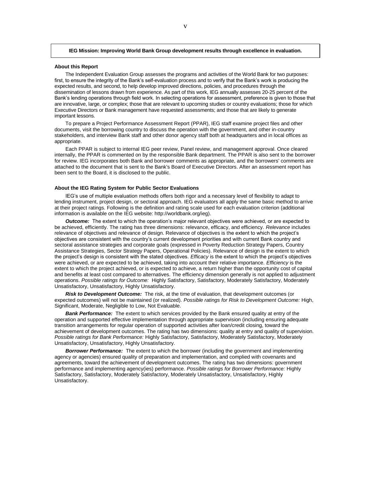#### **IEG Mission: Improving World Bank Group development results through excellence in evaluation.**

#### **About this Report**

The Independent Evaluation Group assesses the programs and activities of the World Bank for two purposes: first, to ensure the integrity of the Bank's self-evaluation process and to verify that the Bank's work is producing the expected results, and second, to help develop improved directions, policies, and procedures through the dissemination of lessons drawn from experience. As part of this work, IEG annually assesses 20-25 percent of the Bank's lending operations through field work. In selecting operations for assessment, preference is given to those that are innovative, large, or complex; those that are relevant to upcoming studies or country evaluations; those for which Executive Directors or Bank management have requested assessments; and those that are likely to generate important lessons.

To prepare a Project Performance Assessment Report (PPAR), IEG staff examine project files and other documents, visit the borrowing country to discuss the operation with the government, and other in-country stakeholders, and interview Bank staff and other donor agency staff both at headquarters and in local offices as appropriate.

Each PPAR is subject to internal IEG peer review, Panel review, and management approval. Once cleared internally, the PPAR is commented on by the responsible Bank department. The PPAR is also sent to the borrower for review. IEG incorporates both Bank and borrower comments as appropriate, and the borrowers' comments are attached to the document that is sent to the Bank's Board of Executive Directors. After an assessment report has been sent to the Board, it is disclosed to the public.

#### **About the IEG Rating System for Public Sector Evaluations**

IEG's use of multiple evaluation methods offers both rigor and a necessary level of flexibility to adapt to lending instrument, project design, or sectoral approach. IEG evaluators all apply the same basic method to arrive at their project ratings. Following is the definition and rating scale used for each evaluation criterion (additional information is available on the IEG website: http://worldbank.org/ieg).

*Outcome:* The extent to which the operation's major relevant objectives were achieved, or are expected to be achieved, efficiently. The rating has three dimensions: relevance, efficacy, and efficiency. *Relevance* includes relevance of objectives and relevance of design. Relevance of objectives is the extent to which the project's objectives are consistent with the country's current development priorities and with current Bank country and sectoral assistance strategies and corporate goals (expressed in Poverty Reduction Strategy Papers, Country Assistance Strategies, Sector Strategy Papers, Operational Policies). Relevance of design is the extent to which the project's design is consistent with the stated objectives. *Efficacy* is the extent to which the project's objectives were achieved, or are expected to be achieved, taking into account their relative importance. *Efficiency* is the extent to which the project achieved, or is expected to achieve, a return higher than the opportunity cost of capital and benefits at least cost compared to alternatives. The efficiency dimension generally is not applied to adjustment operations. *Possible ratings for Outcome:* Highly Satisfactory, Satisfactory, Moderately Satisfactory, Moderately Unsatisfactory, Unsatisfactory, Highly Unsatisfactory.

*Risk to Development Outcome:* The risk, at the time of evaluation, that development outcomes (or expected outcomes) will not be maintained (or realized). *Possible ratings for Risk to Development Outcome:* High, Significant, Moderate, Negligible to Low, Not Evaluable.

*Bank Performance:* The extent to which services provided by the Bank ensured quality at entry of the operation and supported effective implementation through appropriate supervision (including ensuring adequate transition arrangements for regular operation of supported activities after loan/credit closing, toward the achievement of development outcomes. The rating has two dimensions: quality at entry and quality of supervision. *Possible ratings for Bank Performance:* Highly Satisfactory, Satisfactory, Moderately Satisfactory, Moderately Unsatisfactory, Unsatisfactory, Highly Unsatisfactory.

*Borrower Performance:* The extent to which the borrower (including the government and implementing agency or agencies) ensured quality of preparation and implementation, and complied with covenants and agreements, toward the achievement of development outcomes. The rating has two dimensions: government performance and implementing agency(ies) performance. *Possible ratings for Borrower Performance:* Highly Satisfactory, Satisfactory, Moderately Satisfactory, Moderately Unsatisfactory, Unsatisfactory, Highly Unsatisfactory.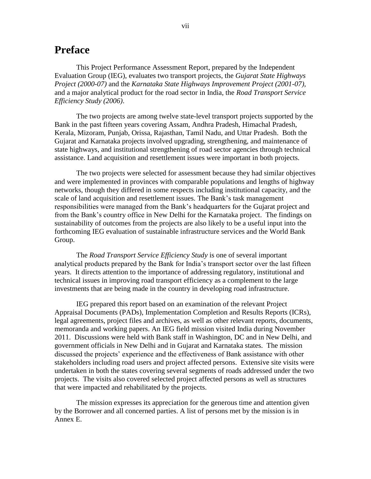### <span id="page-10-0"></span>**Preface**

This Project Performance Assessment Report, prepared by the Independent Evaluation Group (IEG), evaluates two transport projects, the *Gujarat State Highways Project (2000-07)* and the *Karnataka State Highways Improvement Project (2001-07),*  and a major analytical product for the road sector in India, the *Road Transport Service Efficiency Study (2006)*.

 The two projects are among twelve state-level transport projects supported by the Bank in the past fifteen years covering Assam, Andhra Pradesh, Himachal Pradesh, Kerala, Mizoram, Punjab, Orissa, Rajasthan, Tamil Nadu, and Uttar Pradesh. Both the Gujarat and Karnataka projects involved upgrading, strengthening, and maintenance of state highways, and institutional strengthening of road sector agencies through technical assistance. Land acquisition and resettlement issues were important in both projects.

The two projects were selected for assessment because they had similar objectives and were implemented in provinces with comparable populations and lengths of highway networks, though they differed in some respects including institutional capacity, and the scale of land acquisition and resettlement issues. The Bank's task management responsibilities were managed from the Bank's headquarters for the Gujarat project and from the Bank's country office in New Delhi for the Karnataka project. The findings on sustainability of outcomes from the projects are also likely to be a useful input into the forthcoming IEG evaluation of sustainable infrastructure services and the World Bank Group.

The *Road Transport Service Efficiency Study* is one of several important analytical products prepared by the Bank for India's transport sector over the last fifteen years. It directs attention to the importance of addressing regulatory, institutional and technical issues in improving road transport efficiency as a complement to the large investments that are being made in the country in developing road infrastructure.

IEG prepared this report based on an examination of the relevant Project Appraisal Documents (PADs), Implementation Completion and Results Reports (ICRs), legal agreements, project files and archives, as well as other relevant reports, documents, memoranda and working papers. An IEG field mission visited India during November 2011. Discussions were held with Bank staff in Washington, DC and in New Delhi, and government officials in New Delhi and in Gujarat and Karnataka states. The mission discussed the projects' experience and the effectiveness of Bank assistance with other stakeholders including road users and project affected persons. Extensive site visits were undertaken in both the states covering several segments of roads addressed under the two projects. The visits also covered selected project affected persons as well as structures that were impacted and rehabilitated by the projects.

The mission expresses its appreciation for the generous time and attention given by the Borrower and all concerned parties. A list of persons met by the mission is in Annex E.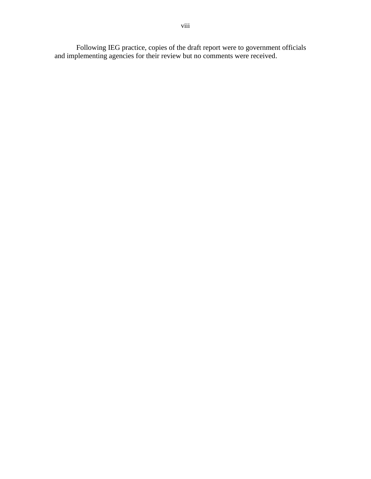Following IEG practice, copies of the draft report were to government officials and implementing agencies for their review but no comments were received.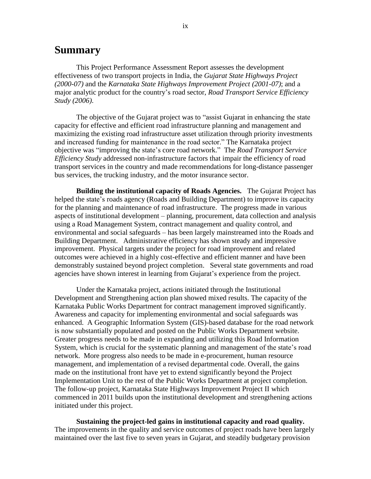### <span id="page-12-0"></span>**Summary**

This Project Performance Assessment Report assesses the development effectiveness of two transport projects in India, the *Gujarat State Highways Project (2000-07)* and the *Karnataka State Highways Improvement Project (2001-07)*; and a major analytic product for the country's road sector, *Road Transport Service Efficiency Study (2006)*.

The objective of the Gujarat project was to "assist Gujarat in enhancing the state capacity for effective and efficient road infrastructure planning and management and maximizing the existing road infrastructure asset utilization through priority investments and increased funding for maintenance in the road sector." The Karnataka project objective was "improving the state's core road network." The *Road Transport Service Efficiency Study* addressed non-infrastructure factors that impair the efficiency of road transport services in the country and made recommendations for long-distance passenger bus services, the trucking industry, and the motor insurance sector.

**Building the institutional capacity of Roads Agencies.** The Gujarat Project has helped the state's roads agency (Roads and Building Department) to improve its capacity for the planning and maintenance of road infrastructure. The progress made in various aspects of institutional development – planning, procurement, data collection and analysis using a Road Management System, contract management and quality control, and environmental and social safeguards – has been largely mainstreamed into the Roads and Building Department. Administrative efficiency has shown steady and impressive improvement. Physical targets under the project for road improvement and related outcomes were achieved in a highly cost-effective and efficient manner and have been demonstrably sustained beyond project completion. Several state governments and road agencies have shown interest in learning from Gujarat's experience from the project.

Under the Karnataka project, actions initiated through the Institutional Development and Strengthening action plan showed mixed results. The capacity of the Karnataka Public Works Department for contract management improved significantly. Awareness and capacity for implementing environmental and social safeguards was enhanced. A Geographic Information System (GIS)-based database for the road network is now substantially populated and posted on the Public Works Department website. Greater progress needs to be made in expanding and utilizing this Road Information System, which is crucial for the systematic planning and management of the state's road network. More progress also needs to be made in e-procurement, human resource management, and implementation of a revised departmental code. Overall, the gains made on the institutional front have yet to extend significantly beyond the Project Implementation Unit to the rest of the Public Works Department at project completion. The follow-up project, Karnataka State Highways Improvement Project II which commenced in 2011 builds upon the institutional development and strengthening actions initiated under this project.

**Sustaining the project-led gains in institutional capacity and road quality.**  The improvements in the quality and service outcomes of project roads have been largely maintained over the last five to seven years in Gujarat, and steadily budgetary provision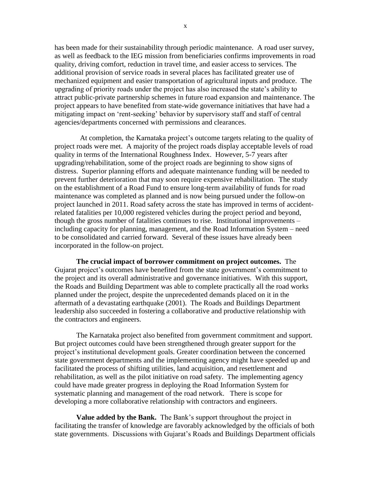has been made for their sustainability through periodic maintenance. A road user survey, as well as feedback to the IEG mission from beneficiaries confirms improvements in road quality, driving comfort, reduction in travel time, and easier access to services. The additional provision of service roads in several places has facilitated greater use of mechanized equipment and easier transportation of agricultural inputs and produce. The upgrading of priority roads under the project has also increased the state's ability to attract public-private partnership schemes in future road expansion and maintenance. The project appears to have benefited from state-wide governance initiatives that have had a mitigating impact on 'rent-seeking' behavior by supervisory staff and staff of central agencies/departments concerned with permissions and clearances.

 At completion, the Karnataka project's outcome targets relating to the quality of project roads were met. A majority of the project roads display acceptable levels of road quality in terms of the International Roughness Index. However, 5-7 years after upgrading/rehabilitation, some of the project roads are beginning to show signs of distress. Superior planning efforts and adequate maintenance funding will be needed to prevent further deterioration that may soon require expensive rehabilitation. The study on the establishment of a Road Fund to ensure long-term availability of funds for road maintenance was completed as planned and is now being pursued under the follow-on project launched in 2011. Road safety across the state has improved in terms of accidentrelated fatalities per 10,000 registered vehicles during the project period and beyond, though the gross number of fatalities continues to rise. Institutional improvements – including capacity for planning, management, and the Road Information System – need to be consolidated and carried forward. Several of these issues have already been incorporated in the follow-on project.

**The crucial impact of borrower commitment on project outcomes.** The Gujarat project's outcomes have benefited from the state government's commitment to the project and its overall administrative and governance initiatives. With this support, the Roads and Building Department was able to complete practically all the road works planned under the project, despite the unprecedented demands placed on it in the aftermath of a devastating earthquake (2001). The Roads and Buildings Department leadership also succeeded in fostering a collaborative and productive relationship with the contractors and engineers.

The Karnataka project also benefited from government commitment and support. But project outcomes could have been strengthened through greater support for the project's institutional development goals. Greater coordination between the concerned state government departments and the implementing agency might have speeded up and facilitated the process of shifting utilities, land acquisition, and resettlement and rehabilitation, as well as the pilot initiative on road safety. The implementing agency could have made greater progress in deploying the Road Information System for systematic planning and management of the road network. There is scope for developing a more collaborative relationship with contractors and engineers.

**Value added by the Bank.** The Bank's support throughout the project in facilitating the transfer of knowledge are favorably acknowledged by the officials of both state governments. Discussions with Gujarat's Roads and Buildings Department officials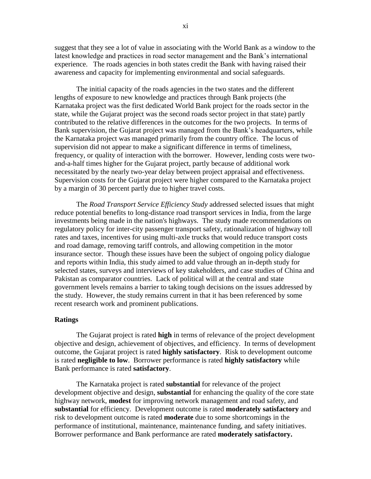suggest that they see a lot of value in associating with the World Bank as a window to the latest knowledge and practices in road sector management and the Bank's international experience. The roads agencies in both states credit the Bank with having raised their awareness and capacity for implementing environmental and social safeguards.

The initial capacity of the roads agencies in the two states and the different lengths of exposure to new knowledge and practices through Bank projects (the Karnataka project was the first dedicated World Bank project for the roads sector in the state, while the Gujarat project was the second roads sector project in that state) partly contributed to the relative differences in the outcomes for the two projects. In terms of Bank supervision, the Gujarat project was managed from the Bank's headquarters, while the Karnataka project was managed primarily from the country office. The locus of supervision did not appear to make a significant difference in terms of timeliness, frequency, or quality of interaction with the borrower. However, lending costs were twoand-a-half times higher for the Gujarat project, partly because of additional work necessitated by the nearly two-year delay between project appraisal and effectiveness. Supervision costs for the Gujarat project were higher compared to the Karnataka project by a margin of 30 percent partly due to higher travel costs.

The *Road Transport Service Efficiency Study* addressed selected issues that might reduce potential benefits to long-distance road transport services in India, from the large investments being made in the nation's highways. The study made recommendations on regulatory policy for inter-city passenger transport safety, rationalization of highway toll rates and taxes, incentives for using multi-axle trucks that would reduce transport costs and road damage, removing tariff controls, and allowing competition in the motor insurance sector. Though these issues have been the subject of ongoing policy dialogue and reports within India, this study aimed to add value through an in-depth study for selected states, surveys and interviews of key stakeholders, and case studies of China and Pakistan as comparator countries. Lack of political will at the central and state government levels remains a barrier to taking tough decisions on the issues addressed by the study. However, the study remains current in that it has been referenced by some recent research work and prominent publications.

#### **Ratings**

The Gujarat project is rated **high** in terms of relevance of the project development objective and design, achievement of objectives, and efficiency. In terms of development outcome, the Gujarat project is rated **highly satisfactory**. Risk to development outcome is rated **negligible to low**.Borrower performance is rated **highly satisfactory** while Bank performance is rated **satisfactory**.

The Karnataka project is rated **substantial** for relevance of the project development objective and design, **substantial** for enhancing the quality of the core state highway network, **modest** for improving network management and road safety, and **substantial** for efficiency. Development outcome is rated **moderately satisfactory** and risk to development outcome is rated **moderate** due to some shortcomings in the performance of institutional, maintenance, maintenance funding, and safety initiatives. Borrower performance and Bank performance are rated **moderately satisfactory.**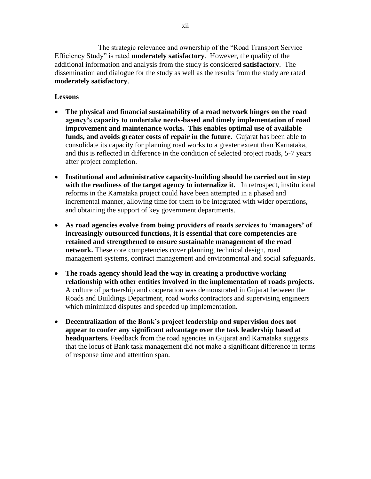The strategic relevance and ownership of the "Road Transport Service" Efficiency Study" is rated **moderately satisfactory**. However, the quality of the additional information and analysis from the study is considered **satisfactory**. The dissemination and dialogue for the study as well as the results from the study are rated **moderately satisfactory**.

#### **Lessons**

- **The physical and financial sustainability of a road network hinges on the road agency"s capacity to undertake needs-based and timely implementation of road improvement and maintenance works. This enables optimal use of available funds, and avoids greater costs of repair in the future.** Gujarat has been able to consolidate its capacity for planning road works to a greater extent than Karnataka, and this is reflected in difference in the condition of selected project roads, 5-7 years after project completion.
- **Institutional and administrative capacity-building should be carried out in step with the readiness of the target agency to internalize it.** In retrospect, institutional reforms in the Karnataka project could have been attempted in a phased and incremental manner, allowing time for them to be integrated with wider operations, and obtaining the support of key government departments.
- **As road agencies evolve from being providers of roads services to "managers" of increasingly outsourced functions, it is essential that core competencies are retained and strengthened to ensure sustainable management of the road network.** These core competencies cover planning, technical design, road management systems, contract management and environmental and social safeguards.
- **The roads agency should lead the way in creating a productive working relationship with other entities involved in the implementation of roads projects.**  A culture of partnership and cooperation was demonstrated in Gujarat between the Roads and Buildings Department, road works contractors and supervising engineers which minimized disputes and speeded up implementation.
- **Decentralization of the Bank"s project leadership and supervision does not appear to confer any significant advantage over the task leadership based at headquarters.** Feedback from the road agencies in Gujarat and Karnataka suggests that the locus of Bank task management did not make a significant difference in terms of response time and attention span.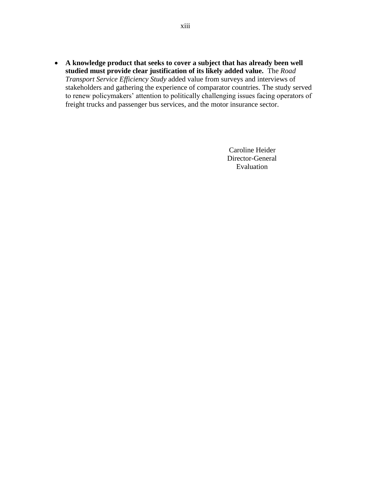**A knowledge product that seeks to cover a subject that has already been well studied must provide clear justification of its likely added value.** The *Road Transport Service Efficiency Study* added value from surveys and interviews of stakeholders and gathering the experience of comparator countries. The study served to renew policymakers' attention to politically challenging issues facing operators of freight trucks and passenger bus services, and the motor insurance sector.

> Caroline Heider Director-General Evaluation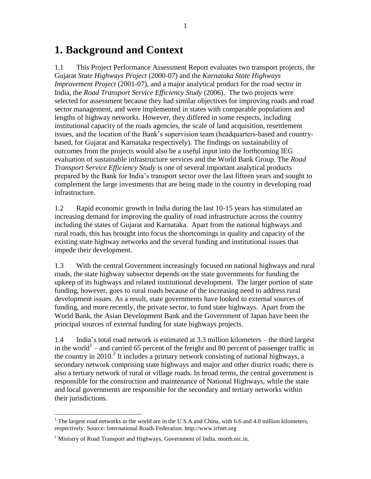### <span id="page-18-0"></span>**1. Background and Context**

1.1 This Project Performance Assessment Report evaluates two transport projects, the Gujarat *State Highways Project* (2000-07) and the *Karnataka State Highways Improvement Project* (2001-07), and a major analytical product for the road sector in India, the *Road Transport Service Efficiency Study* (2006). The two projects were selected for assessment because they had similar objectives for improving roads and road sector management, and were implemented in states with comparable populations and lengths of highway networks. However, they differed in some respects, including institutional capacity of the roads agencies, the scale of land acquisition, resettlement issues, and the location of the Bank's supervision team (headquarters-based and countrybased, for Gujarat and Karnataka respectively). The findings on sustainability of outcomes from the projects would also be a useful input into the forthcoming IEG evaluation of sustainable infrastructure services and the World Bank Group. The *Road Transport Service Efficiency Study* is one of several important analytical products prepared by the Bank for India's transport sector over the last fifteen years and sought to complement the large investments that are being made in the country in developing road infrastructure.

1.2 Rapid economic growth in India during the last 10-15 years has stimulated an increasing demand for improving the quality of road infrastructure across the country including the states of Gujarat and Karnataka. Apart from the national highways and rural roads, this has brought into focus the shortcomings in quality and capacity of the existing state highway networks and the several funding and institutional issues that impede their development.

1.3 With the central Government increasingly focused on national highways and rural roads, the state highway subsector depends on the state governments for funding the upkeep of its highways and related institutional development. The larger portion of state funding, however, goes to rural roads because of the increasing need to address rural development issues. As a result, state governments have looked to external sources of funding, and more recently, the private sector, to fund state highways. Apart from the World Bank, the Asian Development Bank and the Government of Japan have been the principal sources of external funding for state highways projects.

1.4 India's total road network is estimated at 3.3 million kilometers – the third largest in the world<sup>1</sup> – and carried 65 percent of the freight and 80 percent of passenger traffic in the country in 2010. 2 It includes a primary network consisting of national highways, a secondary network comprising state highways and major and other district roads; there is also a tertiary network of rural or village roads. In broad terms, the central government is responsible for the construction and maintenance of National Highways, while the state and local governments are responsible for the secondary and tertiary networks within their jurisdictions.

 $\overline{a}$ 

<sup>&</sup>lt;sup>1</sup> The largest road networks in the world are in the U.S.A and China, with 6.6 and 4.0 million kilometers, respectively. Source: International Roads Federation. http://www.irfnet.org

 $2$  Ministry of Road Transport and Highways, Government of India. morth.nic.in.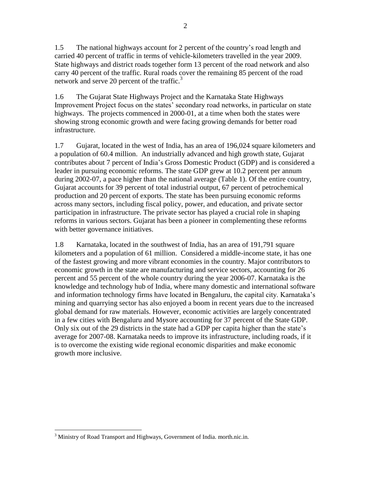2

1.5 The national highways account for 2 percent of the country's road length and carried 40 percent of traffic in terms of vehicle-kilometers travelled in the year 2009. State highways and district roads together form 13 percent of the road network and also carry 40 percent of the traffic. Rural roads cover the remaining 85 percent of the road network and serve 20 percent of the traffic.<sup>3</sup>

1.6 The Gujarat State Highways Project and the Karnataka State Highways Improvement Project focus on the states' secondary road networks, in particular on state highways. The projects commenced in 2000-01, at a time when both the states were showing strong economic growth and were facing growing demands for better road infrastructure.

1.7 Gujarat, located in the west of India, has an area of 196,024 square kilometers and a population of 60.4 million. An industrially advanced and high growth state, Gujarat contributes about 7 percent of India's Gross Domestic Product (GDP) and is considered a leader in pursuing economic reforms. The state GDP grew at 10.2 percent per annum during 2002-07, a pace higher than the national average (Table 1). Of the entire country, Gujarat accounts for 39 percent of total industrial output, 67 percent of petrochemical production and 20 percent of exports. The state has been pursuing economic reforms across many sectors, including fiscal policy, power, and education, and private sector participation in infrastructure. The private sector has played a crucial role in shaping reforms in various sectors. Gujarat has been a pioneer in complementing these reforms with better governance initiatives.

1.8 Karnataka, located in the southwest of India, has an area of 191,791 square kilometers and a population of 61 million. Considered a middle-income state, it has one of the fastest growing and more vibrant economies in the country. Major contributors to economic growth in the state are manufacturing and service sectors, accounting for 26 percent and 55 percent of the whole country during the year 2006-07. Karnataka is the knowledge and technology hub of India, where many domestic and international software and information technology firms have located in Bengaluru, the capital city. Karnataka's mining and quarrying sector has also enjoyed a boom in recent years due to the increased global demand for raw materials. However, economic activities are largely concentrated in a few cities with Bengaluru and Mysore accounting for 37 percent of the State GDP. Only six out of the 29 districts in the state had a GDP per capita higher than the state's average for 2007-08. Karnataka needs to improve its infrastructure, including roads, if it is to overcome the existing wide regional economic disparities and make economic growth more inclusive.

 $\overline{a}$  $3$  Ministry of Road Transport and Highways, Government of India. morth.nic.in.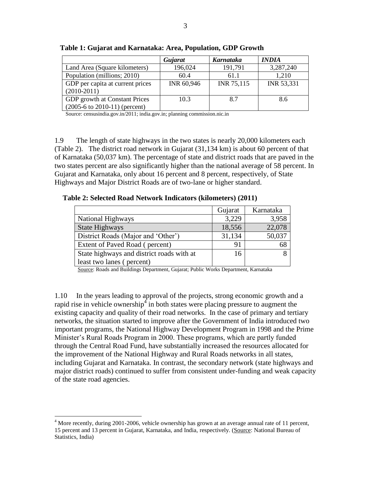|                                          | Gujarat    | <b>Karnataka</b> | <i><b>INDIA</b></i> |
|------------------------------------------|------------|------------------|---------------------|
| Land Area (Square kilometers)            | 196,024    | 191,791          | 3,287,240           |
| Population (millions; 2010)              | 60.4       | 61.1             | 1,210               |
| GDP per capita at current prices         | INR 60,946 | INR 75,115       | INR 53,331          |
| $(2010-2011)$                            |            |                  |                     |
| GDP growth at Constant Prices            | 10.3       | 8.7              | 8.6                 |
| $(2005-6 \text{ to } 2010-11)$ (percent) |            |                  |                     |

<span id="page-20-0"></span>**Table 1: Gujarat and Karnataka: Area, Population, GDP Growth**

Source: [censusindia.gov.in/2011;](file://LDrive54A/HQ-Private8/WB75818/Home/Jammi/PPAR%20India%20Drafts/censusindia.gov.in/2011) india.gov.in; planning commission.nic.in

1.9 The length of state highways in the two states is nearly 20,000 kilometers each (Table 2). The district road network in Gujarat (31,134 km) is about 60 percent of that of Karnataka (50,037 km). The percentage of state and district roads that are paved in the two states percent are also significantly higher than the national average of 58 percent. In Gujarat and Karnataka, only about 16 percent and 8 percent, respectively, of State Highways and Major District Roads are of two-lane or higher standard.

<span id="page-20-1"></span>**Table 2: Selected Road Network Indicators (kilometers) (2011)**

|                                           | Gujarat | Karnataka |
|-------------------------------------------|---------|-----------|
| <b>National Highways</b>                  | 3,229   | 3,958     |
| <b>State Highways</b>                     | 18,556  | 22,078    |
| District Roads (Major and 'Other')        | 31,134  | 50,037    |
| Extent of Paved Road (percent)            | 91      | 68        |
| State highways and district roads with at | 16      |           |
| least two lanes (percent)                 |         |           |

Source: Roads and Buildings Department, Gujarat; Public Works Department, Karnataka

1.10 In the years leading to approval of the projects, strong economic growth and a rapid rise in vehicle ownership<sup>4</sup> in both states were placing pressure to augment the existing capacity and quality of their road networks. In the case of primary and tertiary networks, the situation started to improve after the Government of India introduced two important programs, the National Highway Development Program in 1998 and the Prime Minister's Rural Roads Program in 2000. These programs, which are partly funded through the Central Road Fund, have substantially increased the resources allocated for the improvement of the National Highway and Rural Roads networks in all states, including Gujarat and Karnataka. In contrast, the secondary network (state highways and major district roads) continued to suffer from consistent under-funding and weak capacity of the state road agencies.

 $\overline{a}$ 

<sup>&</sup>lt;sup>4</sup> More recently, during 2001-2006, vehicle ownership has grown at an average annual rate of 11 percent, 15 percent and 13 percent in Gujarat, Karnataka, and India, respectively. (Source: National Bureau of Statistics, India)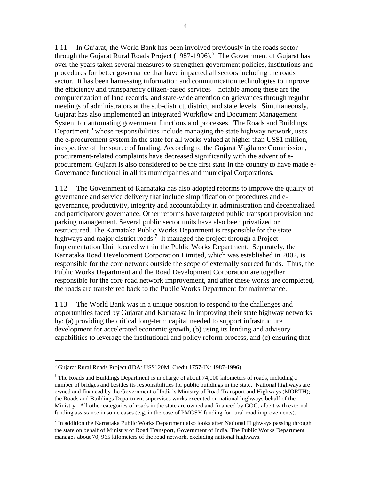1.11 In Gujarat, the World Bank has been involved previously in the roads sector through the Gujarat Rural Roads Project (1987-1996).<sup>5</sup> The Government of Gujarat has over the years taken several measures to strengthen government policies, institutions and procedures for better governance that have impacted all sectors including the roads sector. It has been harnessing information and communication technologies to improve the efficiency and transparency citizen-based services – notable among these are the computerization of land records, and state-wide attention on grievances through regular meetings of administrators at the sub-district, district, and state levels. Simultaneously, Gujarat has also implemented an Integrated Workflow and Document Management System for automating government functions and processes. The Roads and Buildings Department,<sup>6</sup> whose responsibilities include managing the state highway network, uses the e-procurement system in the state for all works valued at higher than US\$1 million, irrespective of the source of funding. According to the Gujarat Vigilance Commission, procurement-related complaints have decreased significantly with the advent of eprocurement. Gujarat is also considered to be the first state in the country to have made e-Governance functional in all its municipalities and municipal Corporations.

1.12 The Government of Karnataka has also adopted reforms to improve the quality of governance and service delivery that include simplification of procedures and egovernance, productivity, integrity and accountability in administration and decentralized and participatory governance. Other reforms have targeted public transport provision and parking management. Several public sector units have also been privatized or restructured. The Karnataka Public Works Department is responsible for the state highways and major district roads.<sup>7</sup> It managed the project through a Project Implementation Unit located within the Public Works Department. Separately, the Karnataka Road Development Corporation Limited, which was established in 2002, is responsible for the core network outside the scope of externally sourced funds. Thus, the Public Works Department and the Road Development Corporation are together responsible for the core road network improvement, and after these works are completed, the roads are transferred back to the Public Works Department for maintenance.

1.13 The World Bank was in a unique position to respond to the challenges and opportunities faced by Gujarat and Karnataka in improving their state highway networks by: (a) providing the critical long-term capital needed to support infrastructure development for accelerated economic growth, (b) using its lending and advisory capabilities to leverage the institutional and policy reform process, and (c) ensuring that

 $\overline{a}$ 

<sup>5</sup> Gujarat Rural Roads Project (IDA: US\$120M; Credit 1757-IN: 1987-1996).

 $6$  The Roads and Buildings Department is in charge of about 74,000 kilometers of roads, including a number of bridges and besides its responsibilities for public buildings in the state. National highways are owned and financed by the Government of India's Ministry of Road Transport and Highways (MORTH); the Roads and Buildings Department supervises works executed on national highways behalf of the Ministry. All other categories of roads in the state are owned and financed by GOG, albeit with external funding assistance in some cases (e.g. in the case of PMGSY funding for rural road improvements).

 $<sup>7</sup>$  In addition the Karnataka Public Works Department also looks after National Highways passing through</sup> the state on behalf of Ministry of Road Transport, Government of India. The Public Works Department manages about 70, 965 kilometers of the road network, excluding national highways.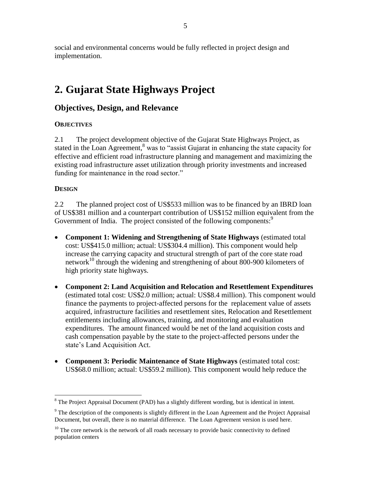social and environmental concerns would be fully reflected in project design and implementation.

## <span id="page-22-0"></span>**2. Gujarat State Highways Project**

### <span id="page-22-1"></span>**Objectives, Design, and Relevance**

#### **OBJECTIVES**

2.1 The project development objective of the Gujarat State Highways Project, as stated in the Loan Agreement, $<sup>8</sup>$  was to "assist Gujarat in enhancing the state capacity for</sup> effective and efficient road infrastructure planning and management and maximizing the existing road infrastructure asset utilization through priority investments and increased funding for maintenance in the road sector."

#### **DESIGN**

 $\overline{a}$ 

2.2 The planned project cost of US\$533 million was to be financed by an IBRD loan of US\$381 million and a counterpart contribution of US\$152 million equivalent from the Government of India. The project consisted of the following components:<sup>9</sup>

- **Component 1: Widening and Strengthening of State Highways** (estimated total cost: US\$415.0 million; actual: US\$304.4 million). This component would help increase the carrying capacity and structural strength of part of the core state road network<sup>10</sup> through the widening and strengthening of about 800-900 kilometers of high priority state highways.
- **Component 2: Land Acquisition and Relocation and Resettlement Expenditures** (estimated total cost: US\$2.0 million; actual: US\$8.4 million). This component would finance the payments to project-affected persons for the replacement value of assets acquired, infrastructure facilities and resettlement sites, Relocation and Resettlement entitlements including allowances, training, and monitoring and evaluation expenditures. The amount financed would be net of the land acquisition costs and cash compensation payable by the state to the project-affected persons under the state's Land Acquisition Act.
- **Component 3: Periodic Maintenance of State Highways** (estimated total cost: US\$68.0 million; actual: US\$59.2 million). This component would help reduce the

 $8$  The Project Appraisal Document (PAD) has a slightly different wording, but is identical in intent.

 $9$  The description of the components is slightly different in the Loan Agreement and the Project Appraisal Document, but overall, there is no material difference. The Loan Agreement version is used here.

 $10$  The core network is the network of all roads necessary to provide basic connectivity to defined population centers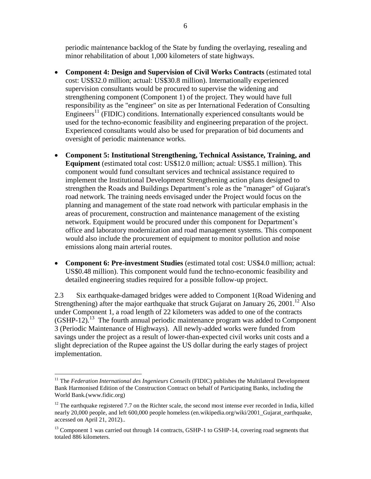periodic maintenance backlog of the State by funding the overlaying, resealing and minor rehabilitation of about 1,000 kilometers of state highways.

- **Component 4: Design and Supervision of Civil Works Contracts** (estimated total cost: US\$32.0 million; actual: US\$30.8 million). Internationally experienced supervision consultants would be procured to supervise the widening and strengthening component (Component 1) of the project. They would have full responsibility as the "engineer" on site as per International Federation of Consulting Engineers<sup>11</sup> (FIDIC) conditions. Internationally experienced consultants would be used for the techno-economic feasibility and engineering preparation of the project. Experienced consultants would also be used for preparation of bid documents and oversight of periodic maintenance works.
- **Component 5: Institutional Strengthening, Technical Assistance, Training, and Equipment** (estimated total cost: US\$12.0 million; actual: US\$5.1 million). This component would fund consultant services and technical assistance required to implement the Institutional Development Strengthening action plans designed to strengthen the Roads and Buildings Department's role as the "manager" of Gujarat's road network. The training needs envisaged under the Project would focus on the planning and management of the state road network with particular emphasis in the areas of procurement, construction and maintenance management of the existing network. Equipment would be procured under this component for Department's office and laboratory modernization and road management systems. This component would also include the procurement of equipment to monitor pollution and noise emissions along main arterial routes.
- **Component 6: Pre-investment Studies** (estimated total cost: US\$4.0 million; actual: US\$0.48 million). This component would fund the techno-economic feasibility and detailed engineering studies required for a possible follow-up project.

2.3 Six earthquake-damaged bridges were added to Component 1(Road Widening and Strengthening) after the major earthquake that struck Gujarat on January 26, 2001.<sup>12</sup> Also under Component 1, a road length of 22 kilometers was added to one of the contracts  $(GSHP-12).$ <sup>13</sup> The fourth annual periodic maintenance program was added to Component 3 (Periodic Maintenance of Highways). All newly-added works were funded from savings under the project as a result of lower-than-expected civil works unit costs and a slight depreciation of the Rupee against the US dollar during the early stages of project implementation.

 $\overline{a}$ 

<sup>&</sup>lt;sup>11</sup> The *Federation International des Ingenieurs Conseils* (FIDIC) publishes the Multilateral Development Bank Harmonised Edition of the Construction Contract on behalf of Participating Banks, including the World Bank.(www.fidic.org)

 $12$  The earthquake registered 7.7 on the Richter scale, the second most intense ever recorded in India, killed nearly 20,000 people, and left 600,000 people homeless (en.wikipedia.org/wiki/2001\_Gujarat\_earthquake, accessed on April 21, 2012)..

<sup>&</sup>lt;sup>13</sup> Component 1 was carried out through 14 contracts, GSHP-1 to GSHP-14, covering road segments that totaled 886 kilometers.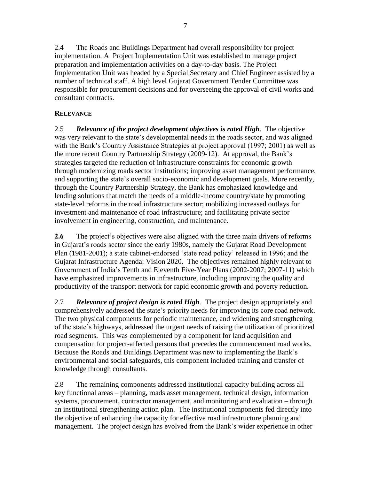2.4 The Roads and Buildings Department had overall responsibility for project implementation. A Project Implementation Unit was established to manage project preparation and implementation activities on a day-to-day basis. The Project Implementation Unit was headed by a Special Secretary and Chief Engineer assisted by a number of technical staff. A high level Gujarat Government Tender Committee was responsible for procurement decisions and for overseeing the approval of civil works and consultant contracts.

#### **RELEVANCE**

2.5 *Relevance of the project development objectives is rated High*. The objective was very relevant to the state's developmental needs in the roads sector, and was aligned with the Bank's Country Assistance Strategies at project approval (1997; 2001) as well as the more recent Country Partnership Strategy (2009-12). At approval, the Bank's strategies targeted the reduction of infrastructure constraints for economic growth through modernizing roads sector institutions; improving asset management performance, and supporting the state's overall socio-economic and development goals. More recently, through the Country Partnership Strategy, the Bank has emphasized knowledge and lending solutions that match the needs of a middle-income country/state by promoting state-level reforms in the road infrastructure sector; mobilizing increased outlays for investment and maintenance of road infrastructure; and facilitating private sector involvement in engineering, construction, and maintenance.

**2.6** The project's objectives were also aligned with the three main drivers of reforms in Gujarat's roads sector since the early 1980s, namely the Gujarat Road Development Plan (1981-2001); a state cabinet-endorsed 'state road policy' released in 1996; and the Gujarat Infrastructure Agenda: Vision 2020. The objectives remained highly relevant to Government of India's Tenth and Eleventh Five-Year Plans (2002-2007; 2007-11) which have emphasized improvements in infrastructure, including improving the quality and productivity of the transport network for rapid economic growth and poverty reduction.

2.7 *Relevance of project design is rated High.* The project design appropriately and comprehensively addressed the state's priority needs for improving its core road network. The two physical components for periodic maintenance, and widening and strengthening of the state's highways, addressed the urgent needs of raising the utilization of prioritized road segments. This was complemented by a component for land acquisition and compensation for project-affected persons that precedes the commencement road works. Because the Roads and Buildings Department was new to implementing the Bank's environmental and social safeguards, this component included training and transfer of knowledge through consultants.

2.8 The remaining components addressed institutional capacity building across all key functional areas – planning, roads asset management, technical design, information systems, procurement, contractor management, and monitoring and evaluation – through an institutional strengthening action plan. The institutional components fed directly into the objective of enhancing the capacity for effective road infrastructure planning and management. The project design has evolved from the Bank's wider experience in other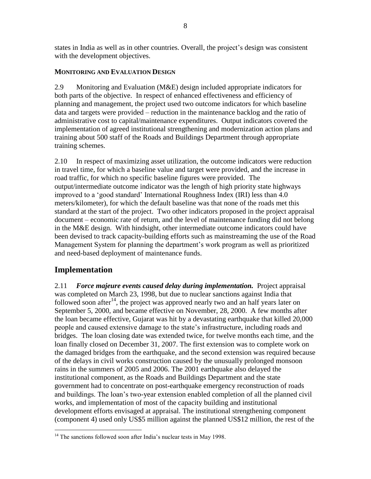states in India as well as in other countries. Overall, the project's design was consistent with the development objectives.

#### **MONITORING AND EVALUATION DESIGN**

2.9 Monitoring and Evaluation (M&E) design included appropriate indicators for both parts of the objective. In respect of enhanced effectiveness and efficiency of planning and management, the project used two outcome indicators for which baseline data and targets were provided – reduction in the maintenance backlog and the ratio of administrative cost to capital/maintenance expenditures. Output indicators covered the implementation of agreed institutional strengthening and modernization action plans and training about 500 staff of the Roads and Buildings Department through appropriate training schemes.

2.10 In respect of maximizing asset utilization, the outcome indicators were reduction in travel time, for which a baseline value and target were provided, and the increase in road traffic, for which no specific baseline figures were provided. The output/intermediate outcome indicator was the length of high priority state highways improved to a 'good standard' International Roughness Index (IRI) less than 4.0 meters/kilometer), for which the default baseline was that none of the roads met this standard at the start of the project. Two other indicators proposed in the project appraisal document – economic rate of return, and the level of maintenance funding did not belong in the M&E design. With hindsight, other intermediate outcome indicators could have been devised to track capacity-building efforts such as mainstreaming the use of the Road Management System for planning the department's work program as well as prioritized and need-based deployment of maintenance funds.

### <span id="page-25-0"></span>**Implementation**

 $\overline{a}$ 

2.11 *Force majeure events caused delay during implementation.* Project appraisal was completed on March 23, 1998, but due to nuclear sanctions against India that followed soon after<sup>14</sup>, the project was approved nearly two and an half years later on September 5, 2000, and became effective on November, 28, 2000. A few months after the loan became effective, Gujarat was hit by a devastating earthquake that killed 20,000 people and caused extensive damage to the state's infrastructure, including roads and bridges. The loan closing date was extended twice, for twelve months each time, and the loan finally closed on December 31, 2007. The first extension was to complete work on the damaged bridges from the earthquake, and the second extension was required because of the delays in civil works construction caused by the unusually prolonged monsoon rains in the summers of 2005 and 2006. The 2001 earthquake also delayed the institutional component, as the Roads and Buildings Department and the state government had to concentrate on post-earthquake emergency reconstruction of roads and buildings. The loan's two-year extension enabled completion of all the planned civil works, and implementation of most of the capacity building and institutional development efforts envisaged at appraisal. The institutional strengthening component (component 4) used only US\$5 million against the planned US\$12 million, the rest of the

 $14$  The sanctions followed soon after India's nuclear tests in May 1998.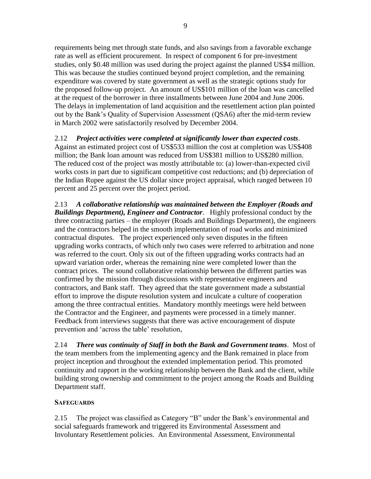requirements being met through state funds, and also savings from a favorable exchange rate as well as efficient procurement. In respect of component 6 for pre-investment studies, only \$0.48 million was used during the project against the planned US\$4 million. This was because the studies continued beyond project completion, and the remaining expenditure was covered by state government as well as the strategic options study for the proposed follow-up project. An amount of US\$101 million of the loan was cancelled at the request of the borrower in three installments between June 2004 and June 2006. The delays in implementation of land acquisition and the resettlement action plan pointed out by the Bank's Quality of Supervision Assessment (QSA6) after the mid-term review in March 2002 were satisfactorily resolved by December 2004.

2.12 *Project activities were completed at significantly lower than expected costs*. Against an estimated project cost of US\$533 million the cost at completion was US\$408 million; the Bank loan amount was reduced from US\$381 million to US\$280 million. The reduced cost of the project was mostly attributable to: (a) lower-than-expected civil works costs in part due to significant competitive cost reductions; and (b) depreciation of the Indian Rupee against the US dollar since project appraisal, which ranged between 10 percent and 25 percent over the project period.

2.13 *A collaborative relationship was maintained between the Employer (Roads and Buildings Department), Engineer and Contractor*. Highly professional conduct by the three contracting parties – the employer (Roads and Buildings Department), the engineers and the contractors helped in the smooth implementation of road works and minimized contractual disputes. The project experienced only seven disputes in the fifteen upgrading works contracts, of which only two cases were referred to arbitration and none was referred to the court. Only six out of the fifteen upgrading works contracts had an upward variation order, whereas the remaining nine were completed lower than the contract prices. The sound collaborative relationship between the different parties was confirmed by the mission through discussions with representative engineers and contractors, and Bank staff. They agreed that the state government made a substantial effort to improve the dispute resolution system and inculcate a culture of cooperation among the three contractual entities. Mandatory monthly meetings were held between the Contractor and the Engineer, and payments were processed in a timely manner. Feedback from interviews suggests that there was active encouragement of dispute prevention and 'across the table' resolution,

2.14 *There was continuity of Staff in both the Bank and Government teams*. Most of the team members from the implementing agency and the Bank remained in place from project inception and throughout the extended implementation period. This promoted continuity and rapport in the working relationship between the Bank and the client, while building strong ownership and commitment to the project among the Roads and Building Department staff.

#### **SAFEGUARDS**

2.15 The project was classified as Category "B" under the Bank's environmental and social safeguards framework and triggered its Environmental Assessment and Involuntary Resettlement policies. An Environmental Assessment, Environmental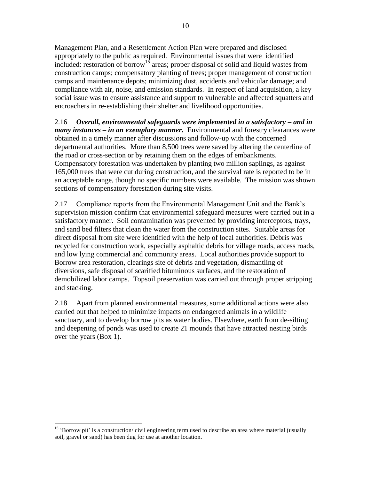Management Plan, and a Resettlement Action Plan were prepared and disclosed appropriately to the public as required. Environmental issues that were identified included: restoration of borrow<sup>15</sup> areas; proper disposal of solid and liquid wastes from construction camps; compensatory planting of trees; proper management of construction camps and maintenance depots; minimizing dust, accidents and vehicular damage; and compliance with air, noise, and emission standards. In respect of land acquisition, a key social issue was to ensure assistance and support to vulnerable and affected squatters and encroachers in re-establishing their shelter and livelihood opportunities.

2.16 *Overall, environmental safeguards were implemented in a satisfactory – and in many instances – in an exemplary manner.* Environmental and forestry clearances were obtained in a timely manner after discussions and follow-up with the concerned departmental authorities. More than 8,500 trees were saved by altering the centerline of the road or cross-section or by retaining them on the edges of embankments. Compensatory forestation was undertaken by planting two million saplings, as against 165,000 trees that were cut during construction, and the survival rate is reported to be in an acceptable range, though no specific numbers were available. The mission was shown sections of compensatory forestation during site visits.

2.17 Compliance reports from the Environmental Management Unit and the Bank's supervision mission confirm that environmental safeguard measures were carried out in a satisfactory manner. Soil contamination was prevented by providing interceptors, trays, and sand bed filters that clean the water from the construction sites. Suitable areas for direct disposal from site were identified with the help of local authorities. Debris was recycled for construction work, especially asphaltic debris for village roads, access roads, and low lying commercial and community areas. Local authorities provide support to Borrow area restoration, clearings site of debris and vegetation, dismantling of diversions, safe disposal of scarified bituminous surfaces, and the restoration of demobilized labor camps. Topsoil preservation was carried out through proper stripping and stacking.

2.18 Apart from planned environmental measures, some additional actions were also carried out that helped to minimize impacts on endangered animals in a wildlife sanctuary, and to develop borrow pits as water bodies. Elsewhere, earth from de-silting and deepening of ponds was used to create 21 mounds that have attracted nesting birds over the years (Box 1).

 $\overline{a}$ 

<sup>&</sup>lt;sup>15</sup> 'Borrow pit' is a construction/ civil engineering term used to describe an area where material (usually soil, gravel or sand) has been dug for use at another location.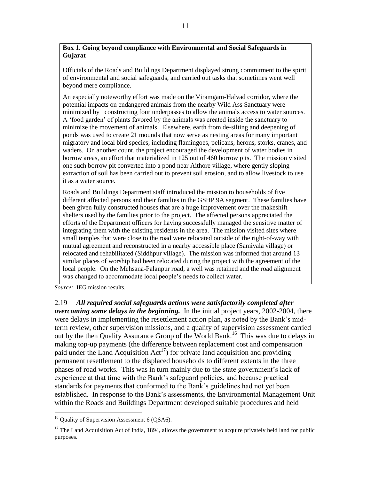#### <span id="page-28-0"></span>**Box 1. Going beyond compliance with Environmental and Social Safeguards in Gujarat**

Officials of the Roads and Buildings Department displayed strong commitment to the spirit of environmental and social safeguards, and carried out tasks that sometimes went well beyond mere compliance.

An especially noteworthy effort was made on the Viramgam-Halvad corridor, where the potential impacts on endangered animals from the nearby Wild Ass Sanctuary were minimized by constructing four underpasses to allow the animals access to water sources. A ‗food garden' of plants favored by the animals was created inside the sanctuary to minimize the movement of animals. Elsewhere, earth from de-silting and deepening of ponds was used to create 21 mounds that now serve as nesting areas for many important migratory and local bird species, including flamingoes, pelicans, herons, storks, cranes, and waders. On another count, the project encouraged the development of water bodies in borrow areas, an effort that materialized in 125 out of 460 borrow pits. The mission visited one such borrow pit converted into a pond near Aithore village, where gently sloping extraction of soil has been carried out to prevent soil erosion, and to allow livestock to use it as a water source.

Roads and Buildings Department staff introduced the mission to households of five different affected persons and their families in the GSHP 9A segment. These families have been given fully constructed houses that are a huge improvement over the makeshift shelters used by the families prior to the project. The affected persons appreciated the efforts of the Department officers for having successfully managed the sensitive matter of integrating them with the existing residents in the area. The mission visited sites where small temples that were close to the road were relocated outside of the right-of-way with mutual agreement and reconstructed in a nearby accessible place (Samiyala village) or relocated and rehabilitated (Siddhpur village). The mission was informed that around 13 similar places of worship had been relocated during the project with the agreement of the local people. On the Mehsana-Palanpur road, a well was retained and the road alignment was changed to accommodate local people's needs to collect water.

*Source:* IEG mission results.

 $\overline{a}$ 

2.19 *All required social safeguards actions were satisfactorily completed after overcoming some delays in the beginning.* In the initial project years, 2002-2004, there were delays in implementing the resettlement action plan, as noted by the Bank's midterm review, other supervision missions, and a quality of supervision assessment carried out by the then Quality Assurance Group of the World Bank.<sup>16</sup> This was due to delays in making top-up payments (the difference between replacement cost and compensation paid under the Land Acquisition  $Act^{17}$  for private land acquisition and providing permanent resettlement to the displaced households to different extents in the three phases of road works. This was in turn mainly due to the state government's lack of experience at that time with the Bank's safeguard policies, and because practical standards for payments that conformed to the Bank's guidelines had not yet been established. In response to the Bank's assessments, the Environmental Management Unit within the Roads and Buildings Department developed suitable procedures and held

<sup>&</sup>lt;sup>16</sup> Quality of Supervision Assessment 6 (QSA6).

<sup>&</sup>lt;sup>17</sup> The Land Acquisition Act of India, 1894, allows the government to acquire privately held land for public purposes.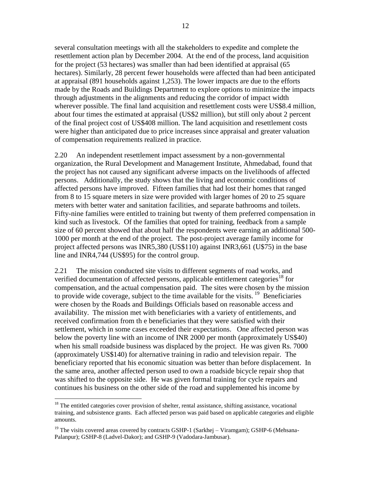several consultation meetings with all the stakeholders to expedite and complete the resettlement action plan by December 2004. At the end of the process, land acquisition for the project (53 hectares) was smaller than had been identified at appraisal (65 hectares). Similarly, 28 percent fewer households were affected than had been anticipated at appraisal (891 households against 1,253). The lower impacts are due to the efforts made by the Roads and Buildings Department to explore options to minimize the impacts through adjustments in the alignments and reducing the corridor of impact width wherever possible. The final land acquisition and resettlement costs were US\$8.4 million, about four times the estimated at appraisal (US\$2 million), but still only about 2 percent of the final project cost of US\$408 million. The land acquisition and resettlement costs were higher than anticipated due to price increases since appraisal and greater valuation of compensation requirements realized in practice.

2.20 An independent resettlement impact assessment by a non-governmental organization, the Rural Development and Management Institute, Ahmedabad, found that the project has not caused any significant adverse impacts on the livelihoods of affected persons. Additionally, the study shows that the living and economic conditions of affected persons have improved. Fifteen families that had lost their homes that ranged from 8 to 15 square meters in size were provided with larger homes of 20 to 25 square meters with better water and sanitation facilities, and separate bathrooms and toilets. Fifty-nine families were entitled to training but twenty of them preferred compensation in kind such as livestock. Of the families that opted for training, feedback from a sample size of 60 percent showed that about half the respondents were earning an additional 500- 1000 per month at the end of the project. The post-project average family income for project affected persons was INR5,380 (US\$110) against INR3,661 (U\$75) in the base line and INR4,744 (US\$95) for the control group.

2.21 The mission conducted site visits to different segments of road works, and verified documentation of affected persons, applicable entitlement categories<sup>18</sup> for compensation, and the actual compensation paid. The sites were chosen by the mission to provide wide coverage, subject to the time available for the visits.  $19$  Beneficiaries were chosen by the Roads and Buildings Officials based on reasonable access and availability. The mission met with beneficiaries with a variety of entitlements, and received confirmation from th e beneficiaries that they were satisfied with their settlement, which in some cases exceeded their expectations. One affected person was below the poverty line with an income of INR 2000 per month (approximately US\$40) when his small roadside business was displaced by the project. He was given Rs. 7000 (approximately US\$140) for alternative training in radio and television repair. The beneficiary reported that his economic situation was better than before displacement. In the same area, another affected person used to own a roadside bicycle repair shop that was shifted to the opposite side. He was given formal training for cycle repairs and continues his business on the other side of the road and supplemented his income by

 $\overline{a}$ 

<sup>&</sup>lt;sup>18</sup> The entitled categories cover provision of shelter, rental assistance, shifting assistance, vocational training, and subsistence grants. Each affected person was paid based on applicable categories and eligible amounts.

 $19$  The visits covered areas covered by contracts GSHP-1 (Sarkhej – Viramgam); GSHP-6 (Mehsana-Palanpur); GSHP-8 (Ladvel-Dakor); and GSHP-9 (Vadodara-Jambusar).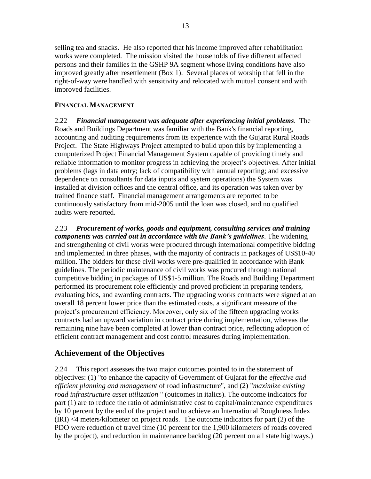selling tea and snacks. He also reported that his income improved after rehabilitation works were completed. The mission visited the households of five different affected persons and their families in the GSHP 9A segment whose living conditions have also improved greatly after resettlement (Box 1). Several places of worship that fell in the right-of-way were handled with sensitivity and relocated with mutual consent and with improved facilities.

#### **FINANCIAL MANAGEMENT**

2.22 *Financial management was adequate after experiencing initial problems*. The Roads and Buildings Department was familiar with the Bank's financial reporting, accounting and auditing requirements from its experience with the Gujarat Rural Roads Project. The State Highways Project attempted to build upon this by implementing a computerized Project Financial Management System capable of providing timely and reliable information to monitor progress in achieving the project's objectives. After initial problems (lags in data entry; lack of compatibility with annual reporting; and excessive dependence on consultants for data inputs and system operations) the System was installed at division offices and the central office, and its operation was taken over by trained finance staff. Financial management arrangements are reported to be continuously satisfactory from mid-2005 until the loan was closed, and no qualified audits were reported.

2.23 *Procurement of works, goods and equipment, consulting services and training components was carried out in accordance with the Bank's guidelines*. The widening and strengthening of civil works were procured through international competitive bidding and implemented in three phases, with the majority of contracts in packages of US\$10-40 million. The bidders for these civil works were pre-qualified in accordance with Bank guidelines. The periodic maintenance of civil works was procured through national competitive bidding in packages of US\$1-5 million. The Roads and Building Department performed its procurement role efficiently and proved proficient in preparing tenders, evaluating bids, and awarding contracts. The upgrading works contracts were signed at an overall 18 percent lower price than the estimated costs, a significant measure of the project's procurement efficiency. Moreover, only six of the fifteen upgrading works contracts had an upward variation in contract price during implementation, whereas the remaining nine have been completed at lower than contract price, reflecting adoption of efficient contract management and cost control measures during implementation.

### <span id="page-30-0"></span>**Achievement of the Objectives**

2.24 This report assesses the two major outcomes pointed to in the statement of objectives: (1) "to enhance the capacity of Government of Gujarat for the *effective and efficient planning and management* of road infrastructure", and (2) "*maximize existing road infrastructure asset utilization* " (outcomes in italics). The outcome indicators for part (1) are to reduce the ratio of administrative cost to capital/maintenance expenditures by 10 percent by the end of the project and to achieve an International Roughness Index (IRI) <4 meters/kilometer on project roads. The outcome indicators for part (2) of the PDO were reduction of travel time (10 percent for the 1,900 kilometers of roads covered by the project), and reduction in maintenance backlog (20 percent on all state highways.)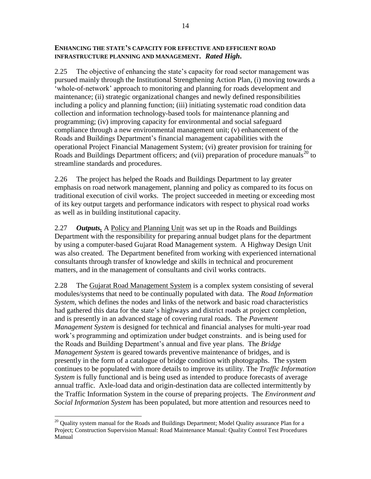#### **ENHANCING THE STATE"S CAPACITY FOR EFFECTIVE AND EFFICIENT ROAD INFRASTRUCTURE PLANNING AND MANAGEMENT.** *Rated High***.**

2.25 The objective of enhancing the state's capacity for road sector management was pursued mainly through the Institutional Strengthening Action Plan, (i) moving towards a ‗whole-of-network' approach to monitoring and planning for roads development and maintenance; (ii) strategic organizational changes and newly defined responsibilities including a policy and planning function; (iii) initiating systematic road condition data collection and information technology-based tools for maintenance planning and programming; (iv) improving capacity for environmental and social safeguard compliance through a new environmental management unit; (v) enhancement of the Roads and Buildings Department's financial management capabilities with the operational Project Financial Management System; (vi) greater provision for training for Roads and Buildings Department officers; and (vii) preparation of procedure manuals<sup>20</sup> to streamline standards and procedures.

2.26 The project has helped the Roads and Buildings Department to lay greater emphasis on road network management, planning and policy as compared to its focus on traditional execution of civil works. The project succeeded in meeting or exceeding most of its key output targets and performance indicators with respect to physical road works as well as in building institutional capacity.

2.27 *Outputs.* A Policy and Planning Unit was set up in the Roads and Buildings Department with the responsibility for preparing annual budget plans for the department by using a computer-based Gujarat Road Management system. A Highway Design Unit was also created. The Department benefited from working with experienced international consultants through transfer of knowledge and skills in technical and procurement matters, and in the management of consultants and civil works contracts.

2.28 The Gujarat Road Management System is a complex system consisting of several modules/systems that need to be continually populated with data. The *Road Information System*, which defines the nodes and links of the network and basic road characteristics had gathered this data for the state's highways and district roads at project completion, and is presently in an advanced stage of covering rural roads. The *Pavement Management System* is designed for technical and financial analyses for multi-year road work's programming and optimization under budget constraints. and is being used for the Roads and Building Department's annual and five year plans. The *Bridge Management System* is geared towards preventive maintenance of bridges, and is presently in the form of a catalogue of bridge condition with photographs. The system continues to be populated with more details to improve its utility. The *Traffic Information System* is fully functional and is being used as intended to produce forecasts of average annual traffic. Axle-load data and origin-destination data are collected intermittently by the Traffic Information System in the course of preparing projects. The *Environment and Social Information System* has been populated, but more attention and resources need to

 $\overline{a}$  $20$  Quality system manual for the Roads and Buildings Department; Model Quality assurance Plan for a Project; Construction Supervision Manual: Road Maintenance Manual: Quality Control Test Procedures Manual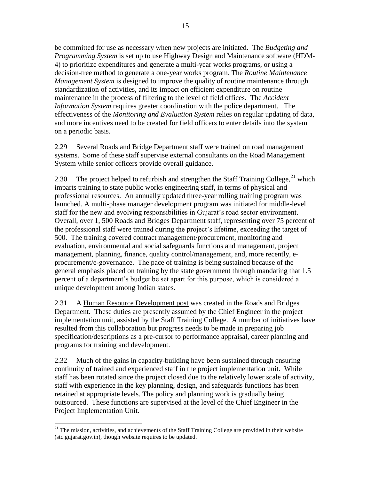be committed for use as necessary when new projects are initiated. The *Budgeting and Programming System* is set up to use Highway Design and Maintenance software (HDM-4) to prioritize expenditures and generate a multi-year works programs, or using a decision-tree method to generate a one-year works program. The *Routine Maintenance Management System* is designed to improve the quality of routine maintenance through standardization of activities, and its impact on efficient expenditure on routine maintenance in the process of filtering to the level of field offices. The *Accident Information System* requires greater coordination with the police department. The effectiveness of the *Monitoring and Evaluation System* relies on regular updating of data, and more incentives need to be created for field officers to enter details into the system on a periodic basis.

2.29 Several Roads and Bridge Department staff were trained on road management systems. Some of these staff supervise external consultants on the Road Management System while senior officers provide overall guidance.

2.30 The project helped to refurbish and strengthen the Staff Training College, $^{21}$  which imparts training to state public works engineering staff, in terms of physical and professional resources. An annually updated three-year rolling training program was launched. A multi-phase manager development program was initiated for middle-level staff for the new and evolving responsibilities in Gujarat's road sector environment. Overall, over 1, 500 Roads and Bridges Department staff, representing over 75 percent of the professional staff were trained during the project's lifetime, exceeding the target of 500. The training covered contract management/procurement, monitoring and evaluation, environmental and social safeguards functions and management, project management, planning, finance, quality control/management, and, more recently, eprocurement/e-governance. The pace of training is being sustained because of the general emphasis placed on training by the state government through mandating that 1.5 percent of a department's budget be set apart for this purpose, which is considered a unique development among Indian states.

2.31 A Human Resource Development post was created in the Roads and Bridges Department. These duties are presently assumed by the Chief Engineer in the project implementation unit, assisted by the Staff Training College. A number of initiatives have resulted from this collaboration but progress needs to be made in preparing job specification/descriptions as a pre-cursor to performance appraisal, career planning and programs for training and development.

2.32 Much of the gains in capacity-building have been sustained through ensuring continuity of trained and experienced staff in the project implementation unit. While staff has been rotated since the project closed due to the relatively lower scale of activity, staff with experience in the key planning, design, and safeguards functions has been retained at appropriate levels. The policy and planning work is gradually being outsourced. These functions are supervised at the level of the Chief Engineer in the Project Implementation Unit.

 $\overline{a}$ 

 $21$  The mission, activities, and achievements of the Staff Training College are provided in their website (stc.gujarat.gov.in), though website requires to be updated.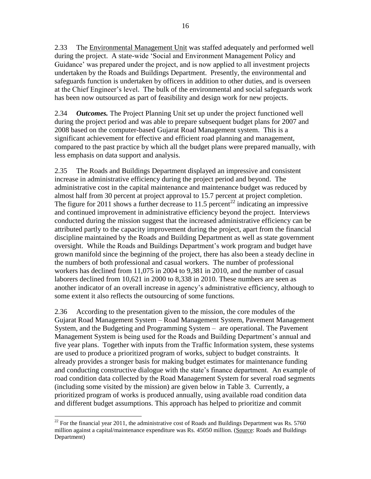2.33 The Environmental Management Unit was staffed adequately and performed well during the project. A state-wide 'Social and Environment Management Policy and Guidance' was prepared under the project, and is now applied to all investment projects undertaken by the Roads and Buildings Department. Presently, the environmental and safeguards function is undertaken by officers in addition to other duties, and is overseen at the Chief Engineer's level. The bulk of the environmental and social safeguards work has been now outsourced as part of feasibility and design work for new projects.

2.34 *Outcomes.* The Project Planning Unit set up under the project functioned well during the project period and was able to prepare subsequent budget plans for 2007 and 2008 based on the computer-based Gujarat Road Management system. This is a significant achievement for effective and efficient road planning and management, compared to the past practice by which all the budget plans were prepared manually, with less emphasis on data support and analysis.

2.35 The Roads and Buildings Department displayed an impressive and consistent increase in administrative efficiency during the project period and beyond. The administrative cost in the capital maintenance and maintenance budget was reduced by almost half from 30 percent at project approval to 15.7 percent at project completion. The figure for 2011 shows a further decrease to 11.5 percent<sup>22</sup> indicating an impressive and continued improvement in administrative efficiency beyond the project. Interviews conducted during the mission suggest that the increased administrative efficiency can be attributed partly to the capacity improvement during the project, apart from the financial discipline maintained by the Roads and Building Department as well as state government oversight. While the Roads and Buildings Department's work program and budget have grown manifold since the beginning of the project, there has also been a steady decline in the numbers of both professional and casual workers. The number of professional workers has declined from 11,075 in 2004 to 9,381 in 2010, and the number of casual laborers declined from 10,621 in 2000 to 8,338 in 2010. These numbers are seen as another indicator of an overall increase in agency's administrative efficiency, although to some extent it also reflects the outsourcing of some functions.

2.36 According to the presentation given to the mission, the core modules of the Gujarat Road Management System – Road Management System, Pavement Management System, and the Budgeting and Programming System – are operational. The Pavement Management System is being used for the Roads and Building Department's annual and five year plans. Together with inputs from the Traffic Information system, these systems are used to produce a prioritized program of works, subject to budget constraints. It already provides a stronger basis for making budget estimates for maintenance funding and conducting constructive dialogue with the state's finance department. An example of road condition data collected by the Road Management System for several road segments (including some visited by the mission) are given below in Table 3. Currently, a prioritized program of works is produced annually, using available road condition data and different budget assumptions. This approach has helped to prioritize and commit

 $\overline{a}$ 

<sup>&</sup>lt;sup>22</sup> For the financial year 2011, the administrative cost of Roads and Buildings Department was Rs. 5760 million against a capital/maintenance expenditure was Rs. 45050 million. (Source: Roads and Buildings Department)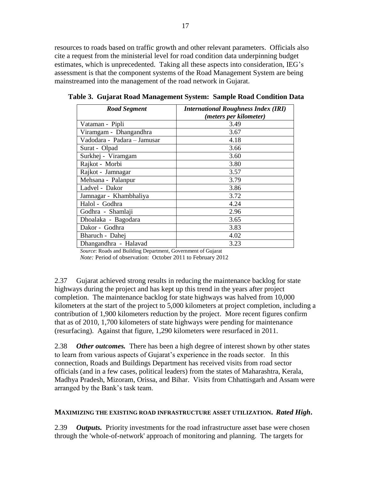resources to roads based on traffic growth and other relevant parameters. Officials also cite a request from the ministerial level for road condition data underpinning budget estimates, which is unprecedented. Taking all these aspects into consideration, IEG's assessment is that the component systems of the Road Management System are being mainstreamed into the management of the road network in Gujarat.

| <b>Road Segment</b>         | <b>International Roughness Index (IRI)</b> |
|-----------------------------|--------------------------------------------|
|                             | (meters per kilometer)                     |
| Vataman - Pipli             | 3.49                                       |
| Viramgam - Dhangandhra      | 3.67                                       |
| Vadodara - Padara - Jamusar | 4.18                                       |
| Surat - Olpad               | 3.66                                       |
| Surkhej - Viramgam          | 3.60                                       |
| Rajkot - Morbi              | 3.80                                       |
| Rajkot - Jamnagar           | 3.57                                       |
| Mehsana - Palanpur          | 3.79                                       |
| Ladvel - Dakor              | 3.86                                       |
| Jamnagar - Khambhaliya      | 3.72                                       |
| Halol - Godhra              | 4.24                                       |
| Godhra - Shamlaji           | 2.96                                       |
| Dhoalaka - Bagodara         | 3.65                                       |
| Dakor - Godhra              | 3.83                                       |
| Bharuch - Dahej             | 4.02                                       |
| Dhangandhra - Halavad       | 3.23                                       |

<span id="page-34-0"></span>**Table 3. Gujarat Road Management System: Sample Road Condition Data**

*Source*: Roads and Building Department, Government of Gujarat

*Note:* Period of observation: October 2011 to February 2012

2.37 Gujarat achieved strong results in reducing the maintenance backlog for state highways during the project and has kept up this trend in the years after project completion. The maintenance backlog for state highways was halved from 10,000 kilometers at the start of the project to 5,000 kilometers at project completion, including a contribution of 1,900 kilometers reduction by the project. More recent figures confirm that as of 2010, 1,700 kilometers of state highways were pending for maintenance (resurfacing). Against that figure, 1,290 kilometers were resurfaced in 2011.

2.38 *Other outcomes.* There has been a high degree of interest shown by other states to learn from various aspects of Gujarat's experience in the roads sector. In this connection, Roads and Buildings Department has received visits from road sector officials (and in a few cases, political leaders) from the states of Maharashtra, Kerala, Madhya Pradesh, Mizoram, Orissa, and Bihar. Visits from Chhattisgarh and Assam were arranged by the Bank's task team.

#### **MAXIMIZING THE EXISTING ROAD INFRASTRUCTURE ASSET UTILIZATION.** *Rated High***.**

2.39 *Outputs.* Priority investments for the road infrastructure asset base were chosen through the 'whole-of-network' approach of monitoring and planning. The targets for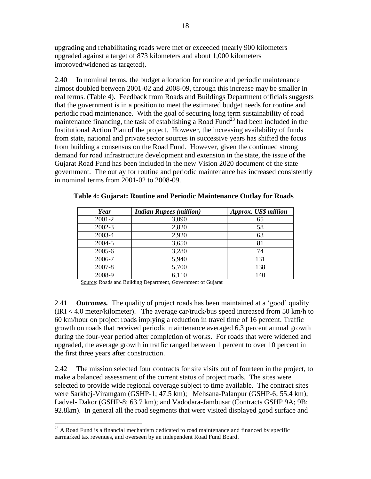upgrading and rehabilitating roads were met or exceeded (nearly 900 kilometers upgraded against a target of 873 kilometers and about 1,000 kilometers improved/widened as targeted).

2.40 In nominal terms, the budget allocation for routine and periodic maintenance almost doubled between 2001-02 and 2008-09, through this increase may be smaller in real terms. (Table 4). Feedback from Roads and Buildings Department officials suggests that the government is in a position to meet the estimated budget needs for routine and periodic road maintenance. With the goal of securing long term sustainability of road maintenance financing, the task of establishing a Road Fund<sup>23</sup> had been included in the Institutional Action Plan of the project. However, the increasing availability of funds from state, national and private sector sources in successive years has shifted the focus from building a consensus on the Road Fund. However, given the continued strong demand for road infrastructure development and extension in the state, the issue of the Gujarat Road Fund has been included in the new Vision 2020 document of the state government. The outlay for routine and periodic maintenance has increased consistently in nominal terms from 2001-02 to 2008-09.

| Year       | <b>Indian Rupees (million)</b> | Approx. US\$ million |
|------------|--------------------------------|----------------------|
| 2001-2     | 3,090                          | 65                   |
| $2002 - 3$ | 2,820                          | 58                   |
| 2003-4     | 2,920                          | 63                   |
| 2004-5     | 3,650                          | 81                   |
| 2005-6     | 3,280                          | 74                   |
| 2006-7     | 5,940                          | 131                  |
| 2007-8     | 5,700                          | 138                  |
| 2008-9     | 6,110                          | 140                  |

<span id="page-35-0"></span>**Table 4: Gujarat: Routine and Periodic Maintenance Outlay for Roads**

Source: Roads and Building Department, Government of Gujarat

2.41 *Outcomes.* The quality of project roads has been maintained at a 'good' quality (IRI < 4.0 meter/kilometer). The average car/truck/bus speed increased from 50 km/h to 60 km/hour on project roads implying a reduction in travel time of 16 percent. Traffic growth on roads that received periodic maintenance averaged 6.3 percent annual growth during the four-year period after completion of works. For roads that were widened and upgraded, the average growth in traffic ranged between 1 percent to over 10 percent in the first three years after construction.

2.42 The mission selected four contracts for site visits out of fourteen in the project, to make a balanced assessment of the current status of project roads. The sites were selected to provide wide regional coverage subject to time available. The contract sites were Sarkhej-Viramgam (GSHP-1; 47.5 km); Mehsana-Palanpur (GSHP-6; 55.4 km); Ladvel- Dakor (GSHP-8; 63.7 km); and Vadodara-Jambusar (Contracts GSHP 9A; 9B; 92.8km). In general all the road segments that were visited displayed good surface and

 $\overline{a}$ 

 $23$  A Road Fund is a financial mechanism dedicated to road maintenance and financed by specific earmarked tax revenues, and overseen by an independent Road Fund Board.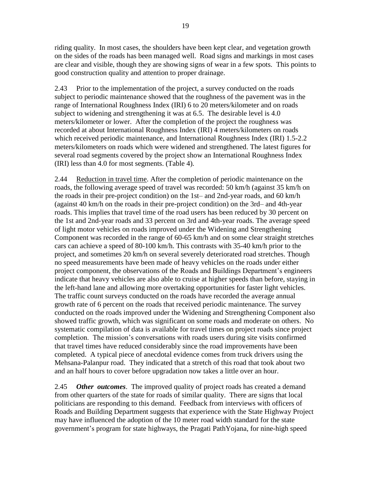riding quality. In most cases, the shoulders have been kept clear, and vegetation growth on the sides of the roads has been managed well. Road signs and markings in most cases are clear and visible, though they are showing signs of wear in a few spots. This points to good construction quality and attention to proper drainage.

2.43 Prior to the implementation of the project, a survey conducted on the roads subject to periodic maintenance showed that the roughness of the pavement was in the range of International Roughness Index (IRI) 6 to 20 meters/kilometer and on roads subject to widening and strengthening it was at 6.5. The desirable level is 4.0 meters/kilometer or lower. After the completion of the project the roughness was recorded at about International Roughness Index (IRI) 4 meters/kilometers on roads which received periodic maintenance, and International Roughness Index (IRI) 1.5-2.2 meters/kilometers on roads which were widened and strengthened. The latest figures for several road segments covered by the project show an International Roughness Index (IRI) less than 4.0 for most segments. (Table 4).

2.44 Reduction in travel time. After the completion of periodic maintenance on the roads, the following average speed of travel was recorded: 50 km/h (against 35 km/h on the roads in their pre-project condition) on the 1st– and 2nd-year roads, and 60 km/h (against 40 km/h on the roads in their pre-project condition) on the 3rd– and 4th-year roads. This implies that travel time of the road users has been reduced by 30 percent on the 1st and 2nd-year roads and 33 percent on 3rd and 4th-year roads. The average speed of light motor vehicles on roads improved under the Widening and Strengthening Component was recorded in the range of 60-65 km/h and on some clear straight stretches cars can achieve a speed of 80-100 km/h. This contrasts with 35-40 km/h prior to the project, and sometimes 20 km/h on several severely deteriorated road stretches. Though no speed measurements have been made of heavy vehicles on the roads under either project component, the observations of the Roads and Buildings Department's engineers indicate that heavy vehicles are also able to cruise at higher speeds than before, staying in the left-hand lane and allowing more overtaking opportunities for faster light vehicles. The traffic count surveys conducted on the roads have recorded the average annual growth rate of 6 percent on the roads that received periodic maintenance. The survey conducted on the roads improved under the Widening and Strengthening Component also showed traffic growth, which was significant on some roads and moderate on others. No systematic compilation of data is available for travel times on project roads since project completion. The mission's conversations with roads users during site visits confirmed that travel times have reduced considerably since the road improvements have been completed. A typical piece of anecdotal evidence comes from truck drivers using the Mehsana-Palanpur road. They indicated that a stretch of this road that took about two and an half hours to cover before upgradation now takes a little over an hour.

2.45 *Other outcomes*. The improved quality of project roads has created a demand from other quarters of the state for roads of similar quality. There are signs that local politicians are responding to this demand. Feedback from interviews with officers of Roads and Building Department suggests that experience with the State Highway Project may have influenced the adoption of the 10 meter road width standard for the state government's program for state highways, the Pragati PathYojana, for nine-high speed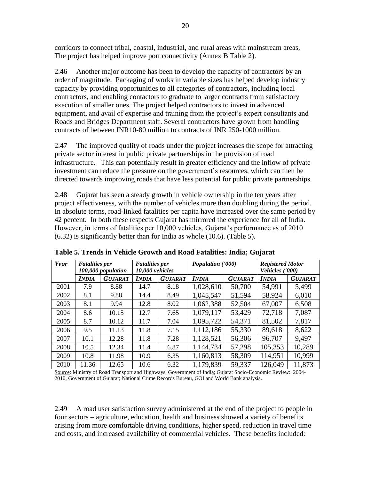corridors to connect tribal, coastal, industrial, and rural areas with mainstream areas, The project has helped improve port connectivity (Annex B Table 2).

2.46 Another major outcome has been to develop the capacity of contractors by an order of magnitude. Packaging of works in variable sizes has helped develop industry capacity by providing opportunities to all categories of contractors, including local contractors, and enabling contactors to graduate to larger contracts from satisfactory execution of smaller ones. The project helped contractors to invest in advanced equipment, and avail of expertise and training from the project's expert consultants and Roads and Bridges Department staff. Several contractors have grown from handling contracts of between INR10-80 million to contracts of INR 250-1000 million.

2.47 The improved quality of roads under the project increases the scope for attracting private sector interest in public private partnerships in the provision of road infrastructure. This can potentially result in greater efficiency and the inflow of private investment can reduce the pressure on the government's resources, which can then be directed towards improving roads that have less potential for public private partnerships.

2.48 Gujarat has seen a steady growth in vehicle ownership in the ten years after project effectiveness, with the number of vehicles more than doubling during the period. In absolute terms, road-linked fatalities per capita have increased over the same period by 42 percent. In both these respects Gujarat has mirrored the experience for all of India. However, in terms of fatalities per 10,000 vehicles, Gujarat's performance as of 2010 (6.32) is significantly better than for India as whole (10.6). (Table 5).

| Year | <b>Fatalities per</b> |                                       | <b>Fatalities per</b> |                | <b>Population</b> ('000) |                | <b>Registered Motor</b> |                |
|------|-----------------------|---------------------------------------|-----------------------|----------------|--------------------------|----------------|-------------------------|----------------|
|      |                       | 10,000 vehicles<br>100,000 population |                       |                |                          |                | Vehicles ('000)         |                |
|      | <b>INDIA</b>          | <b>GUJARAT</b>                        | <b>INDIA</b>          | <b>GUJARAT</b> | <b>INDIA</b>             | <b>GUJARAT</b> | <b>INDIA</b>            | <b>GUJARAT</b> |
| 2001 | 7.9                   | 8.88                                  | 14.7                  | 8.18           | 1,028,610                | 50,700         | 54,991                  | 5,499          |
| 2002 | 8.1                   | 9.88                                  | 14.4                  | 8.49           | 1,045,547                | 51,594         | 58,924                  | 6,010          |
| 2003 | 8.1                   | 9.94                                  | 12.8                  | 8.02           | 1,062,388                | 52,504         | 67,007                  | 6,508          |
| 2004 | 8.6                   | 10.15                                 | 12.7                  | 7.65           | 1,079,117                | 53,429         | 72,718                  | 7,087          |
| 2005 | 8.7                   | 10.12                                 | 11.7                  | 7.04           | 1,095,722                | 54,371         | 81,502                  | 7,817          |
| 2006 | 9.5                   | 11.13                                 | 11.8                  | 7.15           | 1,112,186                | 55,330         | 89,618                  | 8,622          |
| 2007 | 10.1                  | 12.28                                 | 11.8                  | 7.28           | 1,128,521                | 56,306         | 96,707                  | 9,497          |
| 2008 | 10.5                  | 12.34                                 | 11.4                  | 6.87           | 1,144,734                | 57,298         | 105,353                 | 10,289         |
| 2009 | 10.8                  | 11.98                                 | 10.9                  | 6.35           | 1,160,813                | 58,309         | 114,951                 | 10,999         |
| 2010 | 11.36                 | 12.65                                 | 10.6                  | 6.32           | 1,179,839                | 59,337         | 126,049                 | 11,873         |

<span id="page-37-0"></span>**Table 5. Trends in Vehicle Growth and Road Fatalities: India; Gujarat**

Source: Ministry of Road Transport and Highways, Government of India; Gujarat Socio-Economic Review: 2004- 2010, Government of Gujarat; National Crime Records Bureau, GOI and World Bank analysis.

2.49 A road user satisfaction survey administered at the end of the project to people in four sectors – agriculture, education, health and business showed a variety of benefits arising from more comfortable driving conditions, higher speed, reduction in travel time and costs, and increased availability of commercial vehicles. These benefits included: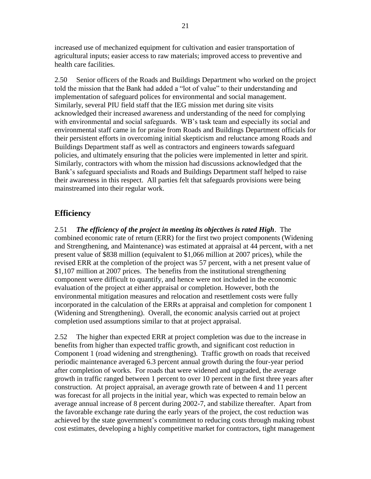increased use of mechanized equipment for cultivation and easier transportation of agricultural inputs; easier access to raw materials; improved access to preventive and health care facilities.

2.50 Senior officers of the Roads and Buildings Department who worked on the project told the mission that the Bank had added a "lot of value" to their understanding and implementation of safeguard polices for environmental and social management. Similarly, several PIU field staff that the IEG mission met during site visits acknowledged their increased awareness and understanding of the need for complying with environmental and social safeguards. WB's task team and especially its social and environmental staff came in for praise from Roads and Buildings Department officials for their persistent efforts in overcoming initial skepticism and reluctance among Roads and Buildings Department staff as well as contractors and engineers towards safeguard policies, and ultimately ensuring that the policies were implemented in letter and spirit. Similarly, contractors with whom the mission had discussions acknowledged that the Bank's safeguard specialists and Roads and Buildings Department staff helped to raise their awareness in this respect. All parties felt that safeguards provisions were being mainstreamed into their regular work.

### <span id="page-38-0"></span>**Efficiency**

2.51 *The efficiency of the project in meeting its objectives is rated High*. The combined economic rate of return (ERR) for the first two project components (Widening and Strengthening, and Maintenance) was estimated at appraisal at 44 percent, with a net present value of \$838 million (equivalent to \$1,066 million at 2007 prices), while the revised ERR at the completion of the project was 57 percent, with a net present value of \$1,107 million at 2007 prices. The benefits from the institutional strengthening component were difficult to quantify, and hence were not included in the economic evaluation of the project at either appraisal or completion. However, both the environmental mitigation measures and relocation and resettlement costs were fully incorporated in the calculation of the ERRs at appraisal and completion for component 1 (Widening and Strengthening). Overall, the economic analysis carried out at project completion used assumptions similar to that at project appraisal.

2.52 The higher than expected ERR at project completion was due to the increase in benefits from higher than expected traffic growth, and significant cost reduction in Component 1 (road widening and strengthening). Traffic growth on roads that received periodic maintenance averaged 6.3 percent annual growth during the four-year period after completion of works. For roads that were widened and upgraded, the average growth in traffic ranged between 1 percent to over 10 percent in the first three years after construction. At project appraisal, an average growth rate of between 4 and 11 percent was forecast for all projects in the initial year, which was expected to remain below an average annual increase of 8 percent during 2002-7, and stabilize thereafter. Apart from the favorable exchange rate during the early years of the project, the cost reduction was achieved by the state government's commitment to reducing costs through making robust cost estimates, developing a highly competitive market for contractors, tight management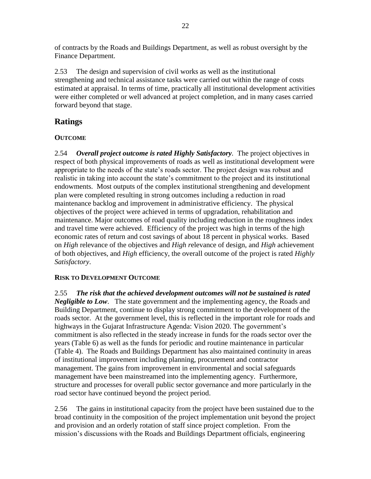of contracts by the Roads and Buildings Department, as well as robust oversight by the Finance Department.

2.53 The design and supervision of civil works as well as the institutional strengthening and technical assistance tasks were carried out within the range of costs estimated at appraisal. In terms of time, practically all institutional development activities were either completed or well advanced at project completion, and in many cases carried forward beyond that stage.

### <span id="page-39-0"></span>**Ratings**

#### **OUTCOME**

2.54 *Overall project outcome is rated Highly Satisfactory.* The project objectives in respect of both physical improvements of roads as well as institutional development were appropriate to the needs of the state's roads sector. The project design was robust and realistic in taking into account the state's commitment to the project and its institutional endowments. Most outputs of the complex institutional strengthening and development plan were completed resulting in strong outcomes including a reduction in road maintenance backlog and improvement in administrative efficiency. The physical objectives of the project were achieved in terms of upgradation, rehabilitation and maintenance. Major outcomes of road quality including reduction in the roughness index and travel time were achieved. Efficiency of the project was high in terms of the high economic rates of return and cost savings of about 18 percent in physical works. Based on *High* relevance of the objectives and *High r*elevance of design, and *High* achievement of both objectives, and *High* efficiency, the overall outcome of the project is rated *Highly Satisfactory*.

#### **RISK TO DEVELOPMENT OUTCOME**

2.55 *The risk that the achieved development outcomes will not be sustained is rated Negligible to Low*. The state government and the implementing agency, the Roads and Building Department, continue to display strong commitment to the development of the roads sector. At the government level, this is reflected in the important role for roads and highways in the Gujarat Infrastructure Agenda: Vision 2020. The government's commitment is also reflected in the steady increase in funds for the roads sector over the years (Table 6) as well as the funds for periodic and routine maintenance in particular (Table 4). The Roads and Buildings Department has also maintained continuity in areas of institutional improvement including planning, procurement and contractor management. The gains from improvement in environmental and social safeguards management have been mainstreamed into the implementing agency. Furthermore, structure and processes for overall public sector governance and more particularly in the road sector have continued beyond the project period.

2.56 The gains in institutional capacity from the project have been sustained due to the broad continuity in the composition of the project implementation unit beyond the project and provision and an orderly rotation of staff since project completion. From the mission's discussions with the Roads and Buildings Department officials, engineering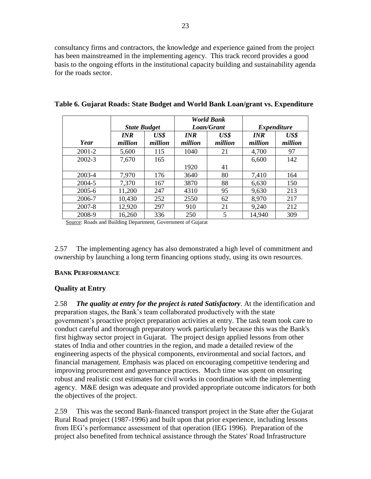consultancy firms and contractors, the knowledge and experience gained from the project has been mainstreamed in the implementing agency. This track record provides a good basis to the ongoing efforts in the institutional capacity building and sustainability agenda for the roads sector.

|            |                     |         |            | <b>World Bank</b> |            |                    |  |
|------------|---------------------|---------|------------|-------------------|------------|--------------------|--|
|            | <b>State Budget</b> |         |            | Loan/Grant        |            | <b>Expenditure</b> |  |
|            | <b>INR</b>          | US\$    | <b>INR</b> | US\$              | <b>INR</b> | US\$               |  |
| Year       | million             | million | million    | million           | million    | million            |  |
| 2001-2     | 5,600               | 115     | 1040       | 21                | 4,700      | 97                 |  |
| $2002 - 3$ | 7,670               | 165     |            |                   | 6,600      | 142                |  |
|            |                     |         | 1920       | 41                |            |                    |  |
| 2003-4     | 7,970               | 176     | 3640       | 80                | 7,410      | 164                |  |
| 2004-5     | 7,370               | 167     | 3870       | 88                | 6,630      | 150                |  |
| $2005 - 6$ | 11,200              | 247     | 4310       | 95                | 9,630      | 213                |  |
| 2006-7     | 10,430              | 252     | 2550       | 62                | 8,970      | 217                |  |
| 2007-8     | 12,920              | 297     | 910        | 21                | 9,240      | 212                |  |
| 2008-9     | 16,260              | 336     | 250        | 5                 | 14,940     | 309                |  |

<span id="page-40-0"></span>**Table 6. Gujarat Roads: State Budget and World Bank Loan/grant vs. Expenditure**

Source: Roads and Building Department, Government of Gujarat

2.57 The implementing agency has also demonstrated a high level of commitment and ownership by launching a long term financing options study, using its own resources.

#### **BANK PERFORMANCE**

#### **Quality at Entry**

2.58 *The quality at entry for the project is rated Satisfactory*. At the identification and preparation stages, the Bank's team collaborated productively with the state government's proactive project preparation activities at entry. The task team took care to conduct careful and thorough preparatory work particularly because this was the Bank's first highway sector project in Gujarat. The project design applied lessons from other states of India and other countries in the region, and made a detailed review of the engineering aspects of the physical components, environmental and social factors, and financial management. Emphasis was placed on encouraging competitive tendering and improving procurement and governance practices. Much time was spent on ensuring robust and realistic cost estimates for civil works in coordination with the implementing agency. M&E design was adequate and provided appropriate outcome indicators for both the objectives of the project.

2.59 This was the second Bank-financed transport project in the State after the Gujarat Rural Road project (1987-1996) and built upon that prior experience, including lessons from IEG's performance assessment of that operation (IEG 1996). Preparation of the project also benefited from technical assistance through the States' Road Infrastructure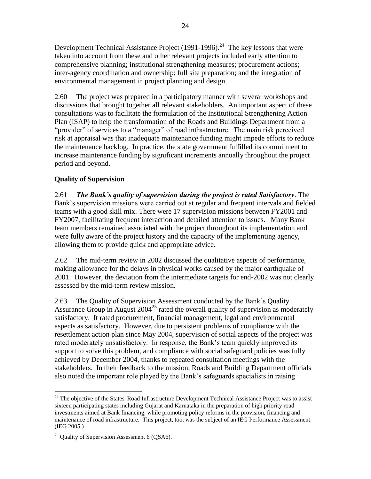Development Technical Assistance Project (1991-1996).<sup>24</sup> The key lessons that were taken into account from these and other relevant projects included early attention to comprehensive planning; institutional strengthening measures; procurement actions; inter-agency coordination and ownership; full site preparation; and the integration of environmental management in project planning and design.

2.60 The project was prepared in a participatory manner with several workshops and discussions that brought together all relevant stakeholders. An important aspect of these consultations was to facilitate the formulation of the Institutional Strengthening Action Plan (ISAP) to help the transformation of the Roads and Buildings Department from a "provider" of services to a "manager" of road infrastructure. The main risk perceived risk at appraisal was that inadequate maintenance funding might impede efforts to reduce the maintenance backlog. In practice, the state government fulfilled its commitment to increase maintenance funding by significant increments annually throughout the project period and beyond.

#### **Quality of Supervision**

2.61 *The Bank's quality of supervision during the project is rated Satisfactory*. The Bank's supervision missions were carried out at regular and frequent intervals and fielded teams with a good skill mix. There were 17 supervision missions between FY2001 and FY2007, facilitating frequent interaction and detailed attention to issues. Many Bank team members remained associated with the project throughout its implementation and were fully aware of the project history and the capacity of the implementing agency, allowing them to provide quick and appropriate advice.

2.62 The mid-term review in 2002 discussed the qualitative aspects of performance, making allowance for the delays in physical works caused by the major earthquake of 2001. However, the deviation from the intermediate targets for end-2002 was not clearly assessed by the mid-term review mission.

2.63 The Quality of Supervision Assessment conducted by the Bank's Quality Assurance Group in August  $2004^{25}$  rated the overall quality of supervision as moderately satisfactory. It rated procurement, financial management, legal and environmental aspects as satisfactory. However, due to persistent problems of compliance with the resettlement action plan since May 2004, supervision of social aspects of the project was rated moderately unsatisfactory. In response, the Bank's team quickly improved its support to solve this problem, and compliance with social safeguard policies was fully achieved by December 2004, thanks to repeated consultation meetings with the stakeholders. In their feedback to the mission, Roads and Building Department officials also noted the important role played by the Bank's safeguards specialists in raising

 $\overline{a}$ 

<sup>&</sup>lt;sup>24</sup> The objective of the States' Road Infrastructure Development Technical Assistance Project was to assist sixteen participating states including Gujarat and Karnataka in the preparation of high priority road investments aimed at Bank financing, while promoting policy reforms in the provision, financing and maintenance of road infrastructure. This project, too, was the subject of an IEG Performance Assessment. (IEG 2005.)

 $25$  Quality of Supervision Assessment 6 (QSA6).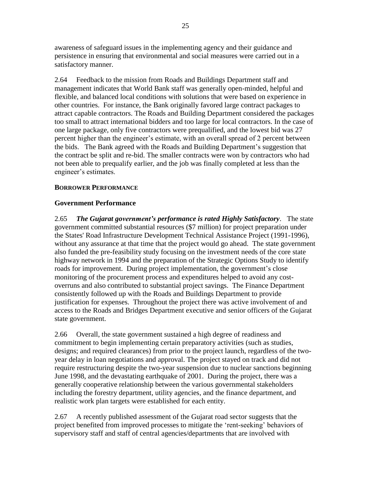awareness of safeguard issues in the implementing agency and their guidance and persistence in ensuring that environmental and social measures were carried out in a satisfactory manner.

2.64 Feedback to the mission from Roads and Buildings Department staff and management indicates that World Bank staff was generally open-minded, helpful and flexible, and balanced local conditions with solutions that were based on experience in other countries. For instance, the Bank originally favored large contract packages to attract capable contractors. The Roads and Building Department considered the packages too small to attract international bidders and too large for local contractors. In the case of one large package, only five contractors were prequalified, and the lowest bid was 27 percent higher than the engineer's estimate, with an overall spread of 2 percent between the bids. The Bank agreed with the Roads and Building Department's suggestion that the contract be split and re-bid. The smaller contracts were won by contractors who had not been able to prequalify earlier, and the job was finally completed at less than the engineer's estimates.

#### **BORROWER PERFORMANCE**

#### **Government Performance**

2.65 *The Gujarat government's performance is rated Highly Satisfactory*. The state government committed substantial resources (\$7 million) for project preparation under the States' Road Infrastructure Development Technical Assistance Project (1991-1996), without any assurance at that time that the project would go ahead. The state government also funded the pre-feasibility study focusing on the investment needs of the core state highway network in 1994 and the preparation of the Strategic Options Study to identify roads for improvement. During project implementation, the government's close monitoring of the procurement process and expenditures helped to avoid any costoverruns and also contributed to substantial project savings. The Finance Department consistently followed up with the Roads and Buildings Department to provide justification for expenses. Throughout the project there was active involvement of and access to the Roads and Bridges Department executive and senior officers of the Gujarat state government.

2.66 Overall, the state government sustained a high degree of readiness and commitment to begin implementing certain preparatory activities (such as studies, designs; and required clearances) from prior to the project launch, regardless of the twoyear delay in loan negotiations and approval. The project stayed on track and did not require restructuring despite the two-year suspension due to nuclear sanctions beginning June 1998, and the devastating earthquake of 2001. During the project, there was a generally cooperative relationship between the various governmental stakeholders including the forestry department, utility agencies, and the finance department, and realistic work plan targets were established for each entity.

2.67 A recently published assessment of the Gujarat road sector suggests that the project benefited from improved processes to mitigate the 'rent-seeking' behaviors of supervisory staff and staff of central agencies/departments that are involved with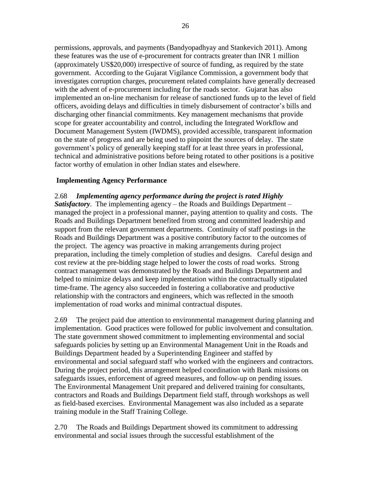permissions, approvals, and payments (Bandyopadhyay and Stankevich 2011). Among these features was the use of e-procurement for contracts greater than INR 1 million (approximately US\$20,000) irrespective of source of funding, as required by the state government. According to the Gujarat Vigilance Commission, a government body that investigates corruption charges, procurement related complaints have generally decreased with the advent of e-procurement including for the roads sector. Gujarat has also implemented an on-line mechanism for release of sanctioned funds up to the level of field officers, avoiding delays and difficulties in timely disbursement of contractor's bills and discharging other financial commitments. Key management mechanisms that provide scope for greater accountability and control, including the Integrated Workflow and Document Management System (IWDMS), provided accessible, transparent information on the state of progress and are being used to pinpoint the sources of delay. The state government's policy of generally keeping staff for at least three years in professional, technical and administrative positions before being rotated to other positions is a positive factor worthy of emulation in other Indian states and elsewhere.

#### **Implementing Agency Performance**

### 2.68 *Implementing agency performance during the project is rated Highly*

*Satisfactory*. The implementing agency – the Roads and Buildings Department – managed the project in a professional manner, paying attention to quality and costs. The Roads and Buildings Department benefited from strong and committed leadership and support from the relevant government departments. Continuity of staff postings in the Roads and Buildings Department was a positive contributory factor to the outcomes of the project. The agency was proactive in making arrangements during project preparation, including the timely completion of studies and designs. Careful design and cost review at the pre-bidding stage helped to lower the costs of road works. Strong contract management was demonstrated by the Roads and Buildings Department and helped to minimize delays and keep implementation within the contractually stipulated time-frame. The agency also succeeded in fostering a collaborative and productive relationship with the contractors and engineers, which was reflected in the smooth implementation of road works and minimal contractual disputes.

2.69 The project paid due attention to environmental management during planning and implementation. Good practices were followed for public involvement and consultation. The state government showed commitment to implementing environmental and social safeguards policies by setting up an Environmental Management Unit in the Roads and Buildings Department headed by a Superintending Engineer and staffed by environmental and social safeguard staff who worked with the engineers and contractors. During the project period, this arrangement helped coordination with Bank missions on safeguards issues, enforcement of agreed measures, and follow-up on pending issues. The Environmental Management Unit prepared and delivered training for consultants, contractors and Roads and Buildings Department field staff, through workshops as well as field-based exercises. Environmental Management was also included as a separate training module in the Staff Training College.

2.70 The Roads and Buildings Department showed its commitment to addressing environmental and social issues through the successful establishment of the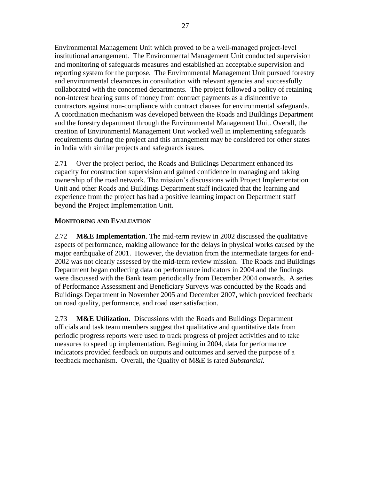Environmental Management Unit which proved to be a well-managed project-level institutional arrangement. The Environmental Management Unit conducted supervision and monitoring of safeguards measures and established an acceptable supervision and reporting system for the purpose. The Environmental Management Unit pursued forestry and environmental clearances in consultation with relevant agencies and successfully collaborated with the concerned departments. The project followed a policy of retaining non-interest bearing sums of money from contract payments as a disincentive to contractors against non-compliance with contract clauses for environmental safeguards. A coordination mechanism was developed between the Roads and Buildings Department and the forestry department through the Environmental Management Unit. Overall, the creation of Environmental Management Unit worked well in implementing safeguards requirements during the project and this arrangement may be considered for other states in India with similar projects and safeguards issues.

2.71 Over the project period, the Roads and Buildings Department enhanced its capacity for construction supervision and gained confidence in managing and taking ownership of the road network. The mission's discussions with Project Implementation Unit and other Roads and Buildings Department staff indicated that the learning and experience from the project has had a positive learning impact on Department staff beyond the Project Implementation Unit.

#### **MONITORING AND EVALUATION**

2.72 **M&E Implementation**. The mid-term review in 2002 discussed the qualitative aspects of performance, making allowance for the delays in physical works caused by the major earthquake of 2001. However, the deviation from the intermediate targets for end-2002 was not clearly assessed by the mid-term review mission. The Roads and Buildings Department began collecting data on performance indicators in 2004 and the findings were discussed with the Bank team periodically from December 2004 onwards. A series of Performance Assessment and Beneficiary Surveys was conducted by the Roads and Buildings Department in November 2005 and December 2007, which provided feedback on road quality, performance, and road user satisfaction.

2.73 **M&E Utilization**. Discussions with the Roads and Buildings Department officials and task team members suggest that qualitative and quantitative data from periodic progress reports were used to track progress of project activities and to take measures to speed up implementation. Beginning in 2004, data for performance indicators provided feedback on outputs and outcomes and served the purpose of a feedback mechanism. Overall, the Quality of M&E is rated *Substantial.*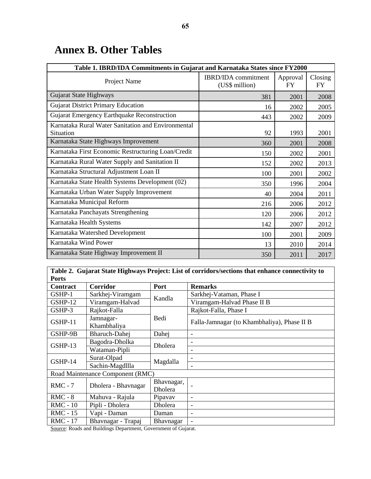| Table 1. IBRD/IDA Commitments in Gujarat and Karnataka States since FY2000 |                                              |                       |                      |  |
|----------------------------------------------------------------------------|----------------------------------------------|-----------------------|----------------------|--|
| Project Name                                                               | <b>IBRD/IDA</b> commitment<br>(US\$ million) | Approval<br><b>FY</b> | Closing<br><b>FY</b> |  |
| Gujarat State Highways                                                     | 381                                          | 2001                  | 2008                 |  |
| <b>Gujarat District Primary Education</b>                                  | 16                                           | 2002                  | 2005                 |  |
| Gujarat Emergency Earthquake Reconstruction                                | 443                                          | 2002                  | 2009                 |  |
| Karnataka Rural Water Sanitation and Environmental<br>Situation            | 92                                           | 1993                  | 2001                 |  |
| Karnataka State Highways Improvement                                       | 360                                          | 2001                  | 2008                 |  |
| Karnataka First Economic Restructuring Loan/Credit                         | 150                                          | 2002                  | 2001                 |  |
| Karnataka Rural Water Supply and Sanitation II                             | 152                                          | 2002                  | 2013                 |  |
| Karnataka Structural Adjustment Loan II                                    | 100                                          | 2001                  | 2002                 |  |
| Karnataka State Health Systems Development (02)                            | 350                                          | 1996                  | 2004                 |  |
| Karnataka Urban Water Supply Improvement                                   | 40                                           | 2004                  | 2011                 |  |
| Karnataka Municipal Reform                                                 | 216                                          | 2006                  | 2012                 |  |
| Karnataka Panchayats Strengthening                                         | 120                                          | 2006                  | 2012                 |  |
| Karnataka Health Systems                                                   | 142                                          | 2007                  | 2012                 |  |
| Karnataka Watershed Development                                            | 100                                          | 2001                  | 2009                 |  |
| Karnataka Wind Power                                                       | 13                                           | 2010                  | 2014                 |  |
| Karnataka State Highway Improvement II                                     | 350                                          | 2011                  | 2017                 |  |

## <span id="page-46-0"></span>**Annex B. Other Tables**

| Table 2. Gujarat State Highways Project: List of corridors/sections that enhance connectivity to |                                  |                |                                             |  |  |
|--------------------------------------------------------------------------------------------------|----------------------------------|----------------|---------------------------------------------|--|--|
| <b>Ports</b>                                                                                     |                                  |                |                                             |  |  |
| <b>Contract</b>                                                                                  | <b>Corridor</b>                  | Port           | <b>Remarks</b>                              |  |  |
| GSHP-1                                                                                           | Sarkhej-Viramgam                 |                | Sarkhej-Vataman, Phase I                    |  |  |
| GSHP-12                                                                                          | Viramgam-Halvad                  | Kandla         | Viramgam-Halvad Phase II B                  |  |  |
| GSHP-3                                                                                           | Rajkot-Falla                     |                | Rajkot-Falla, Phase I                       |  |  |
| Jamnagar-<br>GSHP-11<br>Khambhaliya                                                              |                                  | Bedi           | Falla-Jamnagar (to Khambhaliya), Phase II B |  |  |
| GSHP-9B                                                                                          | Bharuch-Dahej                    | Dahej          |                                             |  |  |
| GSHP-13                                                                                          | Bagodra-Dholka                   | Dholera        |                                             |  |  |
|                                                                                                  | Wataman-Pipli                    |                |                                             |  |  |
| GSHP-14                                                                                          | Surat-Olpad                      | Magdalla       |                                             |  |  |
|                                                                                                  | Sachin-Magdllla                  |                |                                             |  |  |
|                                                                                                  | Road Maintenance Component (RMC) |                |                                             |  |  |
| $RMC - 7$                                                                                        | Dholera - Bhavnagar              | Bhavnagar,     |                                             |  |  |
|                                                                                                  |                                  | <b>Dholera</b> |                                             |  |  |
| $RMC - 8$                                                                                        | Mahuva - Rajula                  | Pipavav        | ٠                                           |  |  |
| <b>RMC</b> - 10                                                                                  | Pipli - Dholera                  | Dholera        | ٠                                           |  |  |
| <b>RMC</b> - 15                                                                                  | Vapi - Daman                     | Daman          | ٠                                           |  |  |
| <b>RMC</b> - 17                                                                                  | Bhavnagar - Trapaj               | Bhavnagar      |                                             |  |  |

Source: Roads and Buildings Department, Government of Gujarat.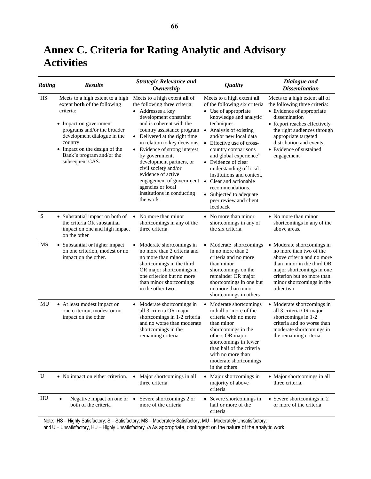## <span id="page-47-0"></span>**Annex C. Criteria for Rating Analytic and Advisory Activities**

| Rating | <b>Results</b>                                                                                                                                                                                                                                                           | <b>Strategic Relevance and</b><br><b>Ownership</b>                                                                                                                                                                                                                                                                                                                                                                                                                                      | <b>Quality</b>                                                                                                                                                                                                                                                                                                                                                                                                                               | Dialogue and<br><b>Dissemination</b>                                                                                                                                                                                                                                     |
|--------|--------------------------------------------------------------------------------------------------------------------------------------------------------------------------------------------------------------------------------------------------------------------------|-----------------------------------------------------------------------------------------------------------------------------------------------------------------------------------------------------------------------------------------------------------------------------------------------------------------------------------------------------------------------------------------------------------------------------------------------------------------------------------------|----------------------------------------------------------------------------------------------------------------------------------------------------------------------------------------------------------------------------------------------------------------------------------------------------------------------------------------------------------------------------------------------------------------------------------------------|--------------------------------------------------------------------------------------------------------------------------------------------------------------------------------------------------------------------------------------------------------------------------|
| HS     | Meets to a high extent to a high<br>extent <b>both</b> of the following<br>criteria:<br>• Impact on government<br>programs and/or the broader<br>development dialogue in the<br>country<br>• Impact on the design of the<br>Bank's program and/or the<br>subsequent CAS. | Meets to a high extent all of<br>the following three criteria:<br>• Addresses a key<br>development constraint<br>and is coherent with the<br>country assistance program<br>• Delivered at the right time<br>in relation to key decisions<br>• Evidence of strong interest<br>by government,<br>development partners, or<br>civil society and/or<br>evidence of active<br>engagement of government • Clear and actionable<br>agencies or local<br>institutions in conducting<br>the work | Meets to a high extent all<br>of the following six criteria<br>• Use of appropriate<br>knowledge and analytic<br>techniques.<br>• Analysis of existing<br>and/or new local data<br>• Effective use of cross-<br>country comparisons<br>and global experience <sup>a</sup><br>• Evidence of clear<br>understanding of local<br>institutions and context.<br>recommendations.<br>• Subjected to adequate<br>peer review and client<br>feedback | Meets to a high extent all of<br>the following three criteria:<br>• Evidence of appropriate<br>dissemination<br>• Report reaches effectively<br>the right audiences through<br>appropriate targeted<br>distribution and events.<br>• Evidence of sustained<br>engagement |
| S      | • Substantial impact on both of<br>the criteria OR substantial<br>impact on one and high impact<br>on the other                                                                                                                                                          | No more than minor<br>$\bullet$<br>shortcomings in any of the<br>three criteria                                                                                                                                                                                                                                                                                                                                                                                                         | • No more than minor<br>shortcomings in any of<br>the six criteria.                                                                                                                                                                                                                                                                                                                                                                          | • No more than minor<br>shortcomings in any of the<br>above areas.                                                                                                                                                                                                       |
| MS     | • Substantial or higher impact<br>on one criterion, modest or no<br>impact on the other.                                                                                                                                                                                 | Moderate shortcomings in<br>$\bullet$<br>no more than 2 criteria and<br>no more than minor<br>shortcomings in the third<br>OR major shortcomings in<br>one criterion but no more<br>than minor shortcomings<br>in the other two.                                                                                                                                                                                                                                                        | • Moderate shortcomings<br>in no more than 2<br>criteria and no more<br>than minor<br>shortcomings on the<br>remainder OR major<br>shortcomings in one but<br>no more than minor<br>shortcomings in others                                                                                                                                                                                                                                   | • Moderate shortcomings in<br>no more than two of the<br>above criteria and no more<br>than minor in the third OR<br>major shortcomings in one<br>criterion but no more than<br>minor shortcomings in the<br>other two                                                   |
| MU     | • At least modest impact on<br>one criterion, modest or no<br>impact on the other                                                                                                                                                                                        | • Moderate shortcomings in<br>all 3 criteria OR major<br>shortcomings in 1-2 criteria<br>and no worse than moderate<br>shortcomings in the<br>remaining criteria                                                                                                                                                                                                                                                                                                                        | • Moderate shortcomings<br>in half or more of the<br>criteria with no more<br>than minor<br>shortcomings in the<br>others OR major<br>shortcomings in fewer<br>than half of the criteria<br>with no more than<br>moderate shortcomings<br>in the others                                                                                                                                                                                      | • Moderate shortcomings in<br>all 3 criteria OR major<br>shortcomings in 1-2<br>criteria and no worse than<br>moderate shortcomings in<br>the remaining criteria.                                                                                                        |
| U      | • No impact on either criterion.                                                                                                                                                                                                                                         | Major shortcomings in all<br>$\bullet$<br>three criteria                                                                                                                                                                                                                                                                                                                                                                                                                                | • Major shortcomings in<br>majority of above<br>criteria                                                                                                                                                                                                                                                                                                                                                                                     | • Major shortcomings in all<br>three criteria.                                                                                                                                                                                                                           |
| HU     | Negative impact on one or $\bullet$<br>both of the criteria                                                                                                                                                                                                              | Severe shortcomings 2 or<br>more of the criteria                                                                                                                                                                                                                                                                                                                                                                                                                                        | • Severe shortcomings in<br>half or more of the<br>criteria                                                                                                                                                                                                                                                                                                                                                                                  | • Severe shortcomings in 2<br>or more of the criteria                                                                                                                                                                                                                    |

Note: HS – Highly Satisfactory; S – Satisfactory; MS – Moderately Satisfactory; MU – Moderately Unsatisfactory;

and U – Unsatisfactory, HU – Highly Unsatisfactory /a As appropriate, contingent on the nature of the analytic work.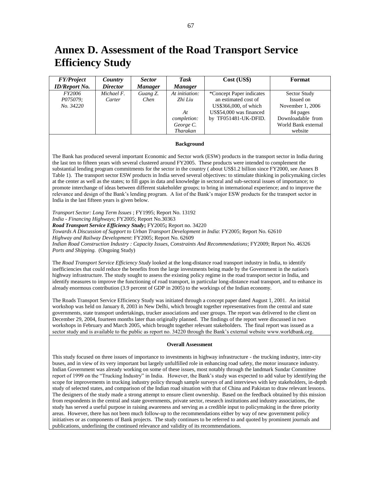## <span id="page-48-0"></span>**Annex D. Assessment of the Road Transport Service Efficiency Study**

| <b>FY/Project</b>    | Country         | <b>Sector</b>  | Task           | Cost (USS)               | Format              |
|----------------------|-----------------|----------------|----------------|--------------------------|---------------------|
| <b>ID/Report No.</b> | <b>Director</b> | <b>Manager</b> | <b>Manager</b> |                          |                     |
| <i>FY2006</i>        | Michael F.      | Guang Z.       | At initiation: | *Concept Paper indicates | Sector Study        |
| <i>P075079:</i>      | Carter          | Chen           | Zhi Liu        | an estimated cost of     | Issued on           |
| No. 34220            |                 |                |                | US\$366,000, of which    | November 1, 2006    |
|                      |                 |                | At             | US\$54,000 was financed  | 84 pages            |
|                      |                 |                | completion:    | by TF051481-UK-DFID.     | Downloadable from   |
|                      |                 |                | George C.      |                          | World Bank external |
|                      |                 |                | Tharakan       |                          | website             |

#### **Background**

The Bank has produced several important Economic and Sector work (ESW) products in the transport sector in India during the last ten to fifteen years with several clustered around FY2005. These products were intended to complement the substantial lending program commitments for the sector in the country ( about US\$1.2 billion since FY2000, see Annex B Table 1). The transport sector ESW products in India served several objectives: to stimulate thinking in policymaking circles at the center as well as the states; to fill gaps in data and knowledge in sectoral and sub-sectoral issues of importance; to promote interchange of ideas between different stakeholder groups; to bring in international experience; and to improve the relevance and design of the Bank's lending program. A list of the Bank's major ESW products for the transport sector in India in the last fifteen years is given below.

*Transport Sector: Long Term Issues* ; FY1995; Report No. 13192

*India - Financing Highways*; FY2005; Report No.30363

*Road Transport Service Efficiency Study***;** FY2005**;** Report no. 34220

*Towards A Discussion of Support to Urban Transport Development in India*: FY2005; Report No. 62610

*Highway and Railway Development*: FY2005; Report No. 62609

*Indian Road Construction Industry : Capacity Issues, Constraints And Recommendations*; FY2009; Report No. 46326 *Ports and Shipping.* (Ongoing Study)

The *Road Transport Service Efficiency Study* looked at the long-distance road transport industry in India, to identify inefficiencies that could reduce the benefits from the large investments being made by the Government in the nation's highway infrastructure. The study sought to assess the existing policy regime in the road transport sector in India, and identify measures to improve the functioning of road transport, in particular long-distance road transport, and to enhance its already enormous contribution (3.9 percent of GDP in 2005) to the workings of the Indian economy.

The Roads Transport Service Efficiency Study was initiated through a concept paper dated August 1, 2001. An initial workshop was held on January 8, 2003 in New Delhi, which brought together representatives from the central and state governments, state transport undertakings, trucker associations and user groups. The report was delivered to the client on December 29, 2004, fourteen months later than originally planned. The findings of the report were discussed in two workshops in February and March 2005, which brought together relevant stakeholders. The final report was issued as a sector study and is available to the public as report no. 34220 through the Bank's external website www.worldbank.org.

#### **Overall Assessment**

This study focused on three issues of importance to investments in highway infrastructure - the trucking industry, inter-city buses, and in view of its very important but largely unfulfilled role in enhancing road safety, the motor insurance industry. Indian Government was already working on some of these issues, most notably through the landmark Sundar Committee report of 1999 on the "Trucking Industry" in India. However, the Bank's study was expected to add value by identifying the scope for improvements in trucking industry policy through sample surveys of and interviews with key stakeholders, in-depth study of selected states, and comparison of the Indian road situation with that of China and Pakistan to draw relevant lessons. The designers of the study made a strong attempt to ensure client ownership. Based on the feedback obtained by this mission from respondents in the central and state governments, private sector, research institutions and industry associations, the study has served a useful purpose in raising awareness and serving as a credible input to policymaking in the three priority areas. However, there has not been much follow-up to the recommendations either by way of new government policy initiatives or as components of Bank projects. The study continues to be referred to and quoted by prominent journals and publications, underlining the continued relevance and validity of its recommendations.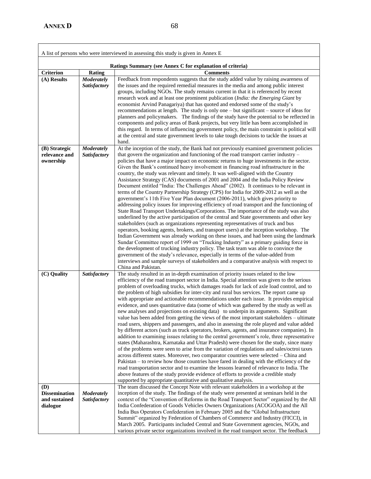|                                                                 |                                   | A list of persons who were interviewed in assessing this study is given in Annex E                                                                                                                                                                                                                                                                                                                                                                                                                                                                                                                                                                                                                                                                                                                                                                                                                                                                                                                                                                                                                                                                                                                                                                                                                                                                                                                                                                                                                                                                                                                                                                                                         |
|-----------------------------------------------------------------|-----------------------------------|--------------------------------------------------------------------------------------------------------------------------------------------------------------------------------------------------------------------------------------------------------------------------------------------------------------------------------------------------------------------------------------------------------------------------------------------------------------------------------------------------------------------------------------------------------------------------------------------------------------------------------------------------------------------------------------------------------------------------------------------------------------------------------------------------------------------------------------------------------------------------------------------------------------------------------------------------------------------------------------------------------------------------------------------------------------------------------------------------------------------------------------------------------------------------------------------------------------------------------------------------------------------------------------------------------------------------------------------------------------------------------------------------------------------------------------------------------------------------------------------------------------------------------------------------------------------------------------------------------------------------------------------------------------------------------------------|
|                                                                 |                                   | Ratings Summary (see Annex C for explanation of criteria)                                                                                                                                                                                                                                                                                                                                                                                                                                                                                                                                                                                                                                                                                                                                                                                                                                                                                                                                                                                                                                                                                                                                                                                                                                                                                                                                                                                                                                                                                                                                                                                                                                  |
| <b>Criterion</b>                                                | <b>Rating</b>                     | <b>Comments</b>                                                                                                                                                                                                                                                                                                                                                                                                                                                                                                                                                                                                                                                                                                                                                                                                                                                                                                                                                                                                                                                                                                                                                                                                                                                                                                                                                                                                                                                                                                                                                                                                                                                                            |
| (A) Results                                                     | <b>Moderately</b><br>Satisfactory | Feedback from respondents suggests that the study added value by raising awareness of<br>the issues and the required remedial measures in the media and among public interest<br>groups, including NGOs. The study remains current in that it is referenced by recent<br>research work and at least one prominent publication (India: the Emerging Giant by<br>economist Arvind Panagariya) that has quoted and endorsed some of the study's<br>recommendations at length. The study is only one - but significant - source of ideas for<br>planners and policymakers. The findings of the study have the potential to be reflected in<br>components and policy areas of Bank projects, but very little has been accomplished in<br>this regard. In terms of influencing government policy, the main constraint is political will<br>at the central and state government levels to take tough decisions to tackle the issues at<br>hand.                                                                                                                                                                                                                                                                                                                                                                                                                                                                                                                                                                                                                                                                                                                                                   |
| (B) Strategic                                                   | <b>Moderately</b>                 | At the inception of the study, the Bank had not previously examined government policies                                                                                                                                                                                                                                                                                                                                                                                                                                                                                                                                                                                                                                                                                                                                                                                                                                                                                                                                                                                                                                                                                                                                                                                                                                                                                                                                                                                                                                                                                                                                                                                                    |
| relevance and<br>ownership                                      | Satisfactory                      | that govern the organization and functioning of the road transport carrier industry -<br>policies that have a major impact on economic returns to huge investments in the sector.<br>Given the Bank's continued heavy involvement in financing road infrastructure in the<br>country, the study was relevant and timely. It was well-aligned with the Country<br>Assistance Strategy (CAS) documents of 2001 and 2004 and the India Policy Review<br>Document entitled "India: The Challenges Ahead" (2002). It continues to be relevant in<br>terms of the Country Partnership Strategy (CPS) for India for 2009-2012 as well as the<br>government's 11th Five Year Plan document (2006-2011), which gives priority to<br>addressing policy issues for improving efficiency of road transport and the functioning of<br>State Road Transport Undertakings/Corporations. The importance of the study was also<br>underlined by the active participation of the central and State governments and other key<br>stakeholders (such as organizations representing representatives of truck and bus<br>operators, booking agents, brokers, and transport users) at the inception workshop. The<br>Indian Government was already working on these issues, and had been using the landmark<br>Sundar Committee report of 1999 on "Trucking Industry" as a primary guiding force in<br>the development of trucking industry policy. The task team was able to convince the<br>government of the study's relevance, especially in terms of the value-added from<br>interviews and sample surveys of stakeholders and a comparative analysis with respect to<br>China and Pakistan.                 |
| (C) Quality                                                     | Satisfactory                      | The study resulted in an in-depth examination of priority issues related to the low<br>efficiency of the road transport sector in India. Special attention was given to the serious<br>problem of overloading trucks, which damages roads for lack of axle load control, and to<br>the problem of high subsidies for inter-city and rural bus services. The report came up<br>with appropriate and actionable recommendations under each issue. It provides empirical<br>evidence, and uses quantitative data (some of which was gathered by the study as well as<br>new analyses and projections on existing data) to underpin its arguments. Significant<br>value has been added from getting the views of the most important stakeholders – ultimate<br>road users, shippers and passengers, and also in assessing the role played and value added<br>by different actors (such as truck operators, brokers, agents, and insurance companies). In<br>addition to examining issues relating to the central government's role, three representative<br>states (Maharashtra, Karnataka and Uttar Pradesh) were chosen for the study, since many<br>of the problems were seen to arise from the variation of regulations and sales/octroi taxes<br>across different states. Moreover, two comparator countries were selected - China and<br>Pakistan – to review how those countries have fared in dealing with the efficiency of the<br>road transportation sector and to examine the lessons learned of relevance to India. The<br>above features of the study provide evidence of efforts to provide a credible study<br>supported by appropriate quantitative and qualitative analysis. |
| <b>(D)</b><br><b>Dissemination</b><br>and sustained<br>dialogue | <b>Moderately</b><br>Satisfactory | The team discussed the Concept Note with relevant stakeholders in a workshop at the<br>inception of the study. The findings of the study were presented at seminars held in the<br>context of the "Convention of Reforms in the Road Transport Sector" organized by the All<br>India Confederation of Goods Vehicles Owners Organizations (ACOGOA) and the All<br>India Bus Operators Confederation in February 2005 and the "Global Infrastructure<br>Summit" organized by Federation of Chambers of Commerce and Industry (FICCI), in<br>March 2005. Participants included Central and State Government agencies, NGOs, and<br>various private sector organizations involved in the road transport sector. The feedback                                                                                                                                                                                                                                                                                                                                                                                                                                                                                                                                                                                                                                                                                                                                                                                                                                                                                                                                                                  |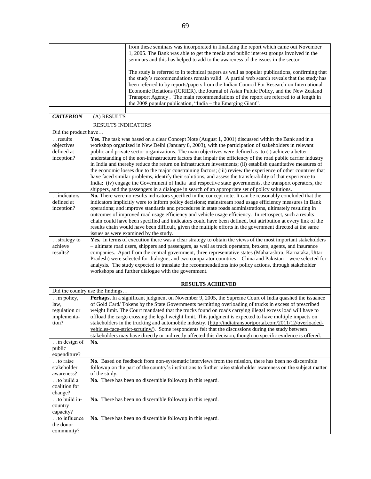|                                                                 | from these seminars was incorporated in finalizing the report which came out November<br>1, 2005. The Bank was able to get the media and public interest groups involved in the<br>seminars and this has helped to add to the awareness of the issues in the sector.                                                                                                                                                                                                                                                                                                                                                                                                                                                                                                                                                                                                                                                                                                                                                                                                                                                    |
|-----------------------------------------------------------------|-------------------------------------------------------------------------------------------------------------------------------------------------------------------------------------------------------------------------------------------------------------------------------------------------------------------------------------------------------------------------------------------------------------------------------------------------------------------------------------------------------------------------------------------------------------------------------------------------------------------------------------------------------------------------------------------------------------------------------------------------------------------------------------------------------------------------------------------------------------------------------------------------------------------------------------------------------------------------------------------------------------------------------------------------------------------------------------------------------------------------|
|                                                                 | The study is referred to in technical papers as well as popular publications, confirming that<br>the study's recommendations remain valid. A partial web search reveals that the study has<br>been referred to by reports/papers from the Indian Council For Research on International<br>Economic Relations (ICRIER), the Journal of Asian Public Policy, and the New Zealand<br>Transport Agency. The main recommendations of the report are referred to at length in                                                                                                                                                                                                                                                                                                                                                                                                                                                                                                                                                                                                                                                 |
|                                                                 | the 2008 popular publication, "India – the Emerging Giant".                                                                                                                                                                                                                                                                                                                                                                                                                                                                                                                                                                                                                                                                                                                                                                                                                                                                                                                                                                                                                                                             |
| <b>CRITERION</b>                                                | (A) RESULTS                                                                                                                                                                                                                                                                                                                                                                                                                                                                                                                                                                                                                                                                                                                                                                                                                                                                                                                                                                                                                                                                                                             |
|                                                                 | <b>RESULTS INDICATORS</b>                                                                                                                                                                                                                                                                                                                                                                                                                                                                                                                                                                                                                                                                                                                                                                                                                                                                                                                                                                                                                                                                                               |
| Did the product have                                            |                                                                                                                                                                                                                                                                                                                                                                                                                                                                                                                                                                                                                                                                                                                                                                                                                                                                                                                                                                                                                                                                                                                         |
| results<br>objectives<br>defined at<br>inception?<br>indicators | Yes. The task was based on a clear Concept Note (August 1, 2001) discussed within the Bank and in a<br>workshop organized in New Delhi (January 8, 2003), with the participation of stakeholders in relevant<br>public and private sector organizations. The main objectives were defined as to (i) achieve a better<br>understanding of the non-infrastructure factors that impair the efficiency of the road public carrier industry<br>in India and thereby reduce the return on infrastructure investments; (ii) establish quantitative measures of<br>the economic losses due to the major constraining factors; (iii) review the experience of other countries that<br>have faced similar problems, identify their solutions, and assess the transferability of that experience to<br>India; (iv) engage the Government of India and respective state governments, the transport operators, the<br>shippers, and the passengers in a dialogue in search of an appropriate set of policy solutions.<br>No. There were no results indicators specified in the concept note. It can be reasonably concluded that the |
| defined at<br>inception?                                        | indicators implicitly were to inform policy decisions; mainstream road usage efficiency measures in Bank<br>operations; and improve standards and procedures in state roads administrations, ultimately resulting in<br>outcomes of improved road usage efficiency and vehicle usage efficiency. In retrospect, such a results<br>chain could have been specified and indicators could have been defined, but attribution at every link of the<br>results chain would have been difficult, given the multiple efforts in the government directed at the same<br>issues as were examined by the study.                                                                                                                                                                                                                                                                                                                                                                                                                                                                                                                   |
| strategy to<br>achieve<br>results?                              | Yes. In terms of execution there was a clear strategy to obtain the views of the most important stakeholders<br>- ultimate road users, shippers and passengers, as well as truck operators, brokers, agents, and insurance<br>companies. Apart from the central government, three representative states (Maharashtra, Karnataka, Uttar<br>Pradesh) were selected for dialogue; and two comparator countries - China and Pakistan - were selected for<br>analysis. The study expected to translate the recommendations into policy actions, through stakeholder<br>workshops and further dialogue with the government.                                                                                                                                                                                                                                                                                                                                                                                                                                                                                                   |
|                                                                 | <b>RESULTS ACHIEVED</b>                                                                                                                                                                                                                                                                                                                                                                                                                                                                                                                                                                                                                                                                                                                                                                                                                                                                                                                                                                                                                                                                                                 |
| Did the country use the findings                                |                                                                                                                                                                                                                                                                                                                                                                                                                                                                                                                                                                                                                                                                                                                                                                                                                                                                                                                                                                                                                                                                                                                         |
| in policy,<br>law,<br>regulation or<br>implementa-<br>tion?     | Perhaps. In a significant judgment on November 9, 2005, the Supreme Court of India quashed the issuance<br>of Gold Card/Tokens by the State Governments permitting overloading of trucks in excess of prescribed<br>weight limit. The Court mandated that the trucks found on roads carrying illegal excess load will have to<br>offload the cargo crossing the legal weight limit. This judgment is expected to have multiple impacts on<br>stakeholders in the trucking and automobile industry. (http://indiatransportportal.com/2011/12/overloaded-<br>vehicles-face-strict-scrutiny/). Some respondents felt that the discussions during the study between<br>stakeholders may have directly or indirectly affected this decision, though no specific evidence is offered.                                                                                                                                                                                                                                                                                                                                         |
| in design of<br>public<br>expenditure?                          | No.                                                                                                                                                                                                                                                                                                                                                                                                                                                                                                                                                                                                                                                                                                                                                                                                                                                                                                                                                                                                                                                                                                                     |
| to raise<br>stakeholder<br>awareness?                           | No. Based on feedback from non-systematic interviews from the mission, there has been no discernible<br>followup on the part of the country's institutions to further raise stakeholder awareness on the subject matter<br>of the study.                                                                                                                                                                                                                                                                                                                                                                                                                                                                                                                                                                                                                                                                                                                                                                                                                                                                                |
| to build a<br>coalition for<br>change?                          | No. There has been no discernible followup in this regard.                                                                                                                                                                                                                                                                                                                                                                                                                                                                                                                                                                                                                                                                                                                                                                                                                                                                                                                                                                                                                                                              |
| to build in-<br>country<br>capacity?                            | No. There has been no discernible followup in this regard.                                                                                                                                                                                                                                                                                                                                                                                                                                                                                                                                                                                                                                                                                                                                                                                                                                                                                                                                                                                                                                                              |
| to influence<br>the donor<br>community?                         | No. There has been no discernible followup in this regard.                                                                                                                                                                                                                                                                                                                                                                                                                                                                                                                                                                                                                                                                                                                                                                                                                                                                                                                                                                                                                                                              |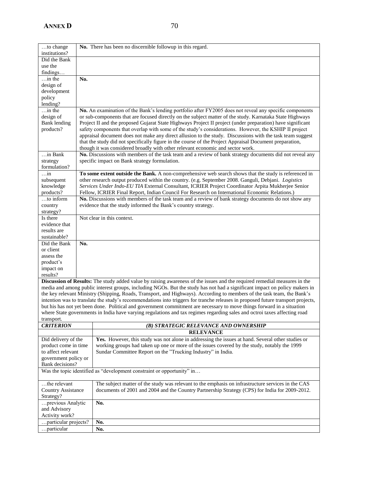| to change                           |     | No. There has been no discernible followup in this regard.                                                                                                                                                          |
|-------------------------------------|-----|---------------------------------------------------------------------------------------------------------------------------------------------------------------------------------------------------------------------|
| institutions?                       |     |                                                                                                                                                                                                                     |
| Did the Bank                        |     |                                                                                                                                                                                                                     |
| use the                             |     |                                                                                                                                                                                                                     |
| findings                            |     |                                                                                                                                                                                                                     |
| $\ldots$ in the                     | No. |                                                                                                                                                                                                                     |
| design of                           |     |                                                                                                                                                                                                                     |
| development                         |     |                                                                                                                                                                                                                     |
| policy                              |     |                                                                                                                                                                                                                     |
| lending?                            |     |                                                                                                                                                                                                                     |
| $\ldots$ in the<br>design of        |     | No. An examination of the Bank's lending portfolio after FY2005 does not reveal any specific components<br>or sub-components that are focused directly on the subject matter of the study. Karnataka State Highways |
| <b>Bank</b> lending                 |     | Project II and the proposed Gujarat State Highways Project II project (under preparation) have significant                                                                                                          |
| products?                           |     | safety components that overlap with some of the study's considerations. However, the KSHIP II project                                                                                                               |
|                                     |     | appraisal document does not make any direct allusion to the study. Discussions with the task team suggest                                                                                                           |
|                                     |     | that the study did not specifically figure in the course of the Project Appraisal Document preparation,                                                                                                             |
|                                     |     | though it was considered broadly with other relevant economic and sector work.                                                                                                                                      |
| $\ldots$ in Bank                    |     | No. Discussions with members of the task team and a review of bank strategy documents did not reveal any                                                                                                            |
| strategy                            |     | specific impact on Bank strategy formulation.                                                                                                                                                                       |
| formulation?                        |     |                                                                                                                                                                                                                     |
| $\dots$ in                          |     | To some extent outside the Bank. A non-comprehensive web search shows that the study is referenced in                                                                                                               |
| subsequent                          |     | other research output produced within the country. (e.g. September 2008. Ganguli, Debjani. Logistics                                                                                                                |
| knowledge                           |     | Services Under Indo-EU TIA External Consultant, ICRIER Project Coordinator Arpita Mukherjee Senior                                                                                                                  |
| products?                           |     | Fellow, ICRIER Final Report, Indian Council For Research on International Economic Relations.)                                                                                                                      |
| to inform                           |     | No. Discussions with members of the task team and a review of bank strategy documents do not show any                                                                                                               |
| country                             |     | evidence that the study informed the Bank's country strategy.                                                                                                                                                       |
| strategy?                           |     |                                                                                                                                                                                                                     |
| Is there                            |     | Not clear in this context.                                                                                                                                                                                          |
| evidence that                       |     |                                                                                                                                                                                                                     |
| results are                         |     |                                                                                                                                                                                                                     |
| sustainable?<br>Did the Bank        | No. |                                                                                                                                                                                                                     |
| or client                           |     |                                                                                                                                                                                                                     |
| assess the                          |     |                                                                                                                                                                                                                     |
| product's                           |     |                                                                                                                                                                                                                     |
| impact on                           |     |                                                                                                                                                                                                                     |
| results?                            |     |                                                                                                                                                                                                                     |
|                                     |     | Discussion of Results: The study added value by raising awareness of the issues and the required remedial measures in the                                                                                           |
|                                     |     | media and among public interest groups, including NGOs. But the study has not had a significant impact on policy makers in                                                                                          |
|                                     |     | the key relevant Ministry (Shipping, Roads, Transport, and Highways). According to members of the task team, the Bank's                                                                                             |
|                                     |     | intention was to translate the study's recommendations into triggers for tranche releases in proposed future transport projects,                                                                                    |
|                                     |     | but his has not yet been done. Political and government commitment are necessary to move things forward in a situation                                                                                              |
|                                     |     | where State governments in India have varying regulations and tax regimes regarding sales and octroi taxes affecting road                                                                                           |
| transport.                          |     |                                                                                                                                                                                                                     |
| <b>CRITERION</b>                    |     | (B) STRATEGIC RELEVANCE AND OWNERSHIP                                                                                                                                                                               |
|                                     |     | <b>RELEVANCE</b>                                                                                                                                                                                                    |
| Did delivery of the                 |     | Yes. However, this study was not alone in addressing the issues at hand. Several other studies or                                                                                                                   |
| product come in time                |     | working groups had taken up one or more of the issues covered by the study, notably the 1999                                                                                                                        |
| to affect relevant                  |     | Sundar Committee Report on the "Trucking Industry" in India.                                                                                                                                                        |
| government policy or                |     |                                                                                                                                                                                                                     |
| Bank decisions?                     |     |                                                                                                                                                                                                                     |
|                                     |     | Was the topic identified as "development constraint or opportunity" in                                                                                                                                              |
| $\ldots$ the relevant               |     | The subject matter of the study was relevant to the emphasis on infrastructure services in the CAS                                                                                                                  |
| <b>Country Assistance</b>           |     | documents of 2001 and 2004 and the Country Partnership Strategy (CPS) for India for 2009-2012.                                                                                                                      |
| Strategy?                           |     |                                                                                                                                                                                                                     |
|                                     |     |                                                                                                                                                                                                                     |
| previous Analytic                   |     | No.                                                                                                                                                                                                                 |
| and Advisory                        |     |                                                                                                                                                                                                                     |
| Activity work?                      |     |                                                                                                                                                                                                                     |
| particular projects?<br>.particular |     | No.<br>No.                                                                                                                                                                                                          |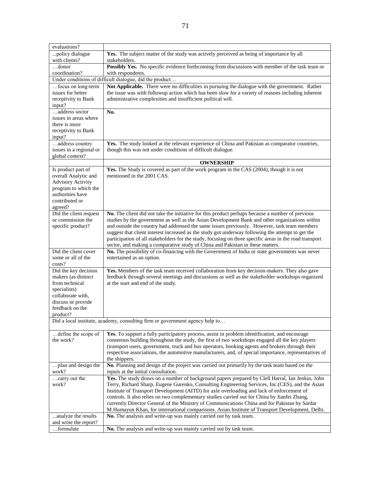| evaluations?                                                                 |                                                                                                                                                                                                                                                                       |  |
|------------------------------------------------------------------------------|-----------------------------------------------------------------------------------------------------------------------------------------------------------------------------------------------------------------------------------------------------------------------|--|
| policy dialogue<br>with clients?                                             | Yes. The subject matter of the study was actively perceived as being of importance by all<br>stakeholders.                                                                                                                                                            |  |
| $$ donor                                                                     | Possibly Yes. No specific evidence forthcoming from discussions with member of the task team or                                                                                                                                                                       |  |
| coordination?                                                                | with respondents.                                                                                                                                                                                                                                                     |  |
|                                                                              | Under conditions of difficult dialogue, did the product                                                                                                                                                                                                               |  |
| focus on long-term<br>issues for better<br>receptivity to Bank               | Not Applicable. There were no difficulties in pursuing the dialogue with the government. Rather<br>the issue was with followup action which has been slow for a variety of reasons including inherent<br>administrative complexities and insufficient political will. |  |
| input?                                                                       |                                                                                                                                                                                                                                                                       |  |
| address sector                                                               | No.                                                                                                                                                                                                                                                                   |  |
| issues in areas where                                                        |                                                                                                                                                                                                                                                                       |  |
| there is more                                                                |                                                                                                                                                                                                                                                                       |  |
| receptivity to Bank<br>input?                                                |                                                                                                                                                                                                                                                                       |  |
| address country<br>issues in a regional or                                   | Yes. The study looked at the relevant experience of China and Pakistan as comparator countries,<br>though this was not under conditions of difficult dialogue.                                                                                                        |  |
| global context?                                                              |                                                                                                                                                                                                                                                                       |  |
|                                                                              | <b>OWNERSHIP</b>                                                                                                                                                                                                                                                      |  |
| Is product part of                                                           | Yes. The Study is covered as part of the work program in the CAS (2004), though it is not                                                                                                                                                                             |  |
| overall Analytic and                                                         | mentioned in the 2001 CAS.                                                                                                                                                                                                                                            |  |
| <b>Advisory Activity</b>                                                     |                                                                                                                                                                                                                                                                       |  |
| program to which the                                                         |                                                                                                                                                                                                                                                                       |  |
| authorities have                                                             |                                                                                                                                                                                                                                                                       |  |
| contributed or                                                               |                                                                                                                                                                                                                                                                       |  |
| agreed?                                                                      |                                                                                                                                                                                                                                                                       |  |
| Did the client request                                                       | No. The client did not take the initiative for this product perhaps because a number of previous                                                                                                                                                                      |  |
| or commission the                                                            | studies by the government as well as the Asian Development Bank and other organizations within                                                                                                                                                                        |  |
| specific product?                                                            | and outside the country had addressed the same issues previously. However, task team members                                                                                                                                                                          |  |
|                                                                              | suggest that client interest increased as the study got underway following the attempt to get the<br>participation of all stakeholders for the study, focusing on three specific areas in the road transport                                                          |  |
|                                                                              | sector, and making a comparative study of China and Pakistan in these matters.                                                                                                                                                                                        |  |
| Did the client cover                                                         | No. The possibility of co-financing with the Government of India or state governments was never                                                                                                                                                                       |  |
| some or all of the                                                           | entertained as an option.                                                                                                                                                                                                                                             |  |
| costs?                                                                       |                                                                                                                                                                                                                                                                       |  |
| Did the key decision                                                         | Yes. Members of the task team received collaboration from key decision-makers. They also gave                                                                                                                                                                         |  |
| makers (as distinct                                                          | feedback through several meetings and discussions as well as the stakeholder workshops organized                                                                                                                                                                      |  |
| from technical                                                               | at the start and end of the study.                                                                                                                                                                                                                                    |  |
| specialists)                                                                 |                                                                                                                                                                                                                                                                       |  |
| collaborate with,                                                            |                                                                                                                                                                                                                                                                       |  |
| discuss or provide                                                           |                                                                                                                                                                                                                                                                       |  |
| feedback on the                                                              |                                                                                                                                                                                                                                                                       |  |
| product?                                                                     |                                                                                                                                                                                                                                                                       |  |
| Did a local institute, academy, consulting firm or government agency help to |                                                                                                                                                                                                                                                                       |  |
| define the scope of                                                          | Yes. To support a fully participatory process, assist in problem identification, and encourage                                                                                                                                                                        |  |
| the work?                                                                    | consensus building throughout the study, the first of two workshops engaged all the key players                                                                                                                                                                       |  |
|                                                                              | (transport users, government, truck and bus operators, booking agents and brokers through their                                                                                                                                                                       |  |
|                                                                              | respective associations, the automotive manufacturers, and, of special importance, representatives of                                                                                                                                                                 |  |
| plan and design the                                                          | the shippers.<br>No. Planning and design of the project was carried out primarily by the task team based on the                                                                                                                                                       |  |
| work?                                                                        | inputs at the initial consultation.                                                                                                                                                                                                                                   |  |
| carry out the                                                                | Yes. The study draws on a number of background papers prepared by Clell Harral, Ian Jenkin, John                                                                                                                                                                      |  |
| work?                                                                        | Terry, Richard Sharp, Eugene Gurenko, Consulting Engineering Services, Inc.(CES), and the Asian                                                                                                                                                                       |  |
|                                                                              | Institute of Transport Development (AITD) for axle overloading and lack of enforcement of                                                                                                                                                                             |  |
|                                                                              | controls. It also relies on two complementary studies carried out for China by Jianfei Zhang,                                                                                                                                                                         |  |
|                                                                              | currently Director General of the Ministry of Communications China and for Pakistan by Sardar                                                                                                                                                                         |  |
|                                                                              | M.Humayun Khan, for international comparisons. Asian Institute of Transport Development, Delhi.                                                                                                                                                                       |  |
| analyze the results                                                          | No. The analysis and write-up was mainly carried out by task team.                                                                                                                                                                                                    |  |
| and write the report?                                                        |                                                                                                                                                                                                                                                                       |  |
| formulate                                                                    | No. The analysis and write-up was mainly carried out by task team.                                                                                                                                                                                                    |  |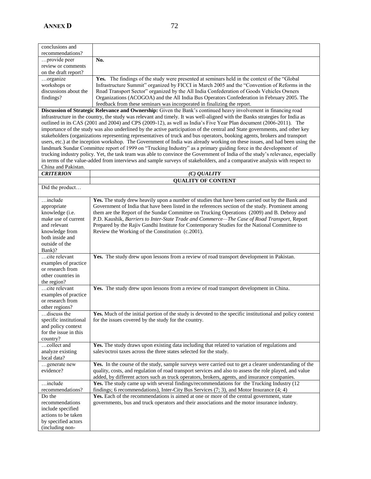(including non-

| conclusions and       |                                                                                               |
|-----------------------|-----------------------------------------------------------------------------------------------|
| recommendations?      |                                                                                               |
| provide peer          | No.                                                                                           |
| review or comments    |                                                                                               |
| on the draft report?  |                                                                                               |
| organize              | Yes. The findings of the study were presented at seminars held in the context of the "Global" |
| workshops or          | Infrastructure Summit" organized by FICCI in March 2005 and the "Convention of Reforms in the |
| discussions about the | Road Transport Sector" organized by the All India Confederation of Goods Vehicles Owners      |
| findings?             | Organizations (ACOGOA) and the All India Bus Operators Confederation in February 2005. The    |
|                       | feedback from these seminars was incorporated in finalizing the report.                       |

**Discussion of Strategic Relevance and Ownership:** Given the Bank's continued heavy involvement in financing road infrastructure in the country, the study was relevant and timely. It was well-aligned with the Banks strategies for India as outlined in its CAS (2001 and 2004) and CPS (2009-12), as well as India's Five Year Plan document (2006-2011). The importance of the study was also underlined by the active participation of the central and State governments, and other key stakeholders (organizations representing representatives of truck and bus operators, booking agents, brokers and transport users, etc.) at the inception workshop. The Government of India was already working on these issues, and had been using the landmark Sundar Committee report of 1999 on "Trucking Industry" as a primary guiding force in the development of trucking industry policy. Yet, the task team was able to convince the Government of India of the study's relevance, especially in terms of the value-added from interviews and sample surveys of stakeholders, and a comparative analysis with respect to China and Pakistan.

| China and Pakistan.                                                                                                                               |                                                                                                                                                                                                                                                                                                                                                                                                                                                                                                                                                         |
|---------------------------------------------------------------------------------------------------------------------------------------------------|---------------------------------------------------------------------------------------------------------------------------------------------------------------------------------------------------------------------------------------------------------------------------------------------------------------------------------------------------------------------------------------------------------------------------------------------------------------------------------------------------------------------------------------------------------|
| <b>CRITERION</b>                                                                                                                                  | $(C)$ <i>QUALITY</i>                                                                                                                                                                                                                                                                                                                                                                                                                                                                                                                                    |
|                                                                                                                                                   | <b>QUALITY OF CONTENT</b>                                                                                                                                                                                                                                                                                                                                                                                                                                                                                                                               |
| Did the product                                                                                                                                   |                                                                                                                                                                                                                                                                                                                                                                                                                                                                                                                                                         |
| include<br>appropriate<br>knowledge (i.e.<br>make use of current<br>and relevant<br>knowledge from<br>both inside and<br>outside of the<br>Bank)? | Yes. The study drew heavily upon a number of studies that have been carried out by the Bank and<br>Government of India that have been listed in the references section of the study. Prominent among<br>them are the Report of the Sundar Committee on Trucking Operations (2009) and B. Debroy and<br>P.D. Kaushik, Barriers to Inter-State Trade and Commerce-The Case of Road Transport, Report<br>Prepared by the Rajiv Gandhi Institute for Contemporary Studies for the National Committee to<br>Review the Working of the Constitution (c.2001). |
| cite relevant<br>examples of practice<br>or research from<br>other countries in<br>the region?                                                    | Yes. The study drew upon lessons from a review of road transport development in Pakistan.                                                                                                                                                                                                                                                                                                                                                                                                                                                               |
| cite relevant<br>examples of practice<br>or research from<br>other regions?                                                                       | Yes. The study drew upon lessons from a review of road transport development in China.                                                                                                                                                                                                                                                                                                                                                                                                                                                                  |
| discuss the<br>specific institutional<br>and policy context<br>for the issue in this<br>country?                                                  | Yes. Much of the initial portion of the study is devoted to the specific institutional and policy context<br>for the issues covered by the study for the country.                                                                                                                                                                                                                                                                                                                                                                                       |
| collect and<br>analyze existing<br>local data?                                                                                                    | Yes. The study draws upon existing data including that related to variation of regulations and<br>sales/octroi taxes across the three states selected for the study.                                                                                                                                                                                                                                                                                                                                                                                    |
| generate new<br>evidence?                                                                                                                         | Yes. In the course of the study, sample surveys were carried out to get a clearer understanding of the<br>quality, costs, and regulation of road transport services and also to assess the role played, and value<br>added, by different actors such as truck operators, brokers, agents, and insurance companies.                                                                                                                                                                                                                                      |
| include<br>recommendations?                                                                                                                       | Yes. The study came up with several findings/recommendations for the Trucking Industry (12)<br>findings; 6 recommendations), Inter-City Bus Services (7; 3), and Motor Insurance (4; 4)                                                                                                                                                                                                                                                                                                                                                                 |
| Do the<br>recommendations<br>include specified<br>actions to be taken<br>by specified actors                                                      | Yes. Each of the recommendations is aimed at one or more of the central government, state<br>governments, bus and truck operators and their associations and the motor insurance industry.                                                                                                                                                                                                                                                                                                                                                              |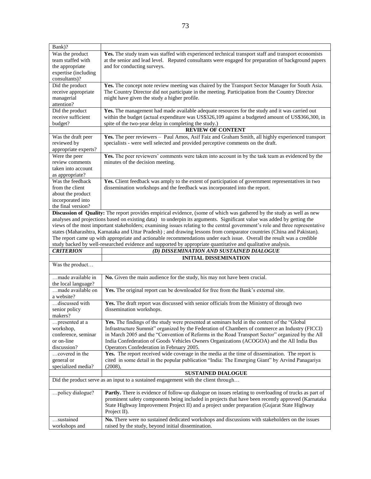| Bank)?                                                                                                                 |                                                                                                                                                       |
|------------------------------------------------------------------------------------------------------------------------|-------------------------------------------------------------------------------------------------------------------------------------------------------|
| Was the product                                                                                                        | Yes. The study team was staffed with experienced technical transport staff and transport economists                                                   |
| team staffed with                                                                                                      | at the senior and lead level. Reputed consultants were engaged for preparation of background papers                                                   |
| the appropriate                                                                                                        | and for conducting surveys.                                                                                                                           |
| expertise (including                                                                                                   |                                                                                                                                                       |
| consultants)?                                                                                                          |                                                                                                                                                       |
| Did the product                                                                                                        | Yes. The concept note review meeting was chaired by the Transport Sector Manager for South Asia.                                                      |
| receive appropriate                                                                                                    | The Country Director did not participate in the meeting. Participation from the Country Director                                                      |
| managerial                                                                                                             | might have given the study a higher profile.                                                                                                          |
| attention?                                                                                                             |                                                                                                                                                       |
| Did the product                                                                                                        | Yes. The management had made available adequate resources for the study and it was carried out                                                        |
| receive sufficient                                                                                                     | within the budget (actual expenditure was US\$326,109 against a budgeted amount of US\$366,300, in                                                    |
| budget?                                                                                                                | spite of the two-year delay in completing the study.)                                                                                                 |
|                                                                                                                        | <b>REVIEW OF CONTENT</b>                                                                                                                              |
|                                                                                                                        | Yes. The peer reviewers - Paul Amos, Asif Faiz and Graham Smith, all highly experienced transport                                                     |
| Was the draft peer                                                                                                     |                                                                                                                                                       |
| reviewed by                                                                                                            | specialists - were well selected and provided perceptive comments on the draft.                                                                       |
| appropriate experts?                                                                                                   |                                                                                                                                                       |
| Were the peer                                                                                                          | Yes. The peer reviewers' comments were taken into account in by the task team as evidenced by the                                                     |
| review comments                                                                                                        | minutes of the decision meeting.                                                                                                                      |
| taken into account                                                                                                     |                                                                                                                                                       |
| as appropriate?                                                                                                        |                                                                                                                                                       |
| Was the feedback                                                                                                       | Yes. Client feedback was amply to the extent of participation of government representatives in two                                                    |
| from the client                                                                                                        | dissemination workshops and the feedback was incorporated into the report.                                                                            |
| about the product                                                                                                      |                                                                                                                                                       |
| incorporated into                                                                                                      |                                                                                                                                                       |
| the final version?                                                                                                     |                                                                                                                                                       |
|                                                                                                                        | Discussion of Quality: The report provides empirical evidence, (some of which was gathered by the study as well as new                                |
|                                                                                                                        | analyses and projections based on existing data) to underpin its arguments. Significant value was added by getting the                                |
|                                                                                                                        | views of the most important stakeholders; examining issues relating to the central government's role and three representative                         |
| states (Maharashtra, Karnataka and Uttar Pradesh); and drawing lessons from comparator countries (China and Pakistan). |                                                                                                                                                       |
|                                                                                                                        |                                                                                                                                                       |
|                                                                                                                        | The report came up with appropriate and actionable recommendations under each issue. Overall the result was a credible                                |
|                                                                                                                        | study backed by well-researched evidence and supported by appropriate quantitative and qualitative analysis.                                          |
| <b>CRITERION</b>                                                                                                       | (D) DISSEMINATION AND SUSTAINED DIALOGUE                                                                                                              |
|                                                                                                                        | <b>INITIAL DISSEMINATION</b>                                                                                                                          |
| Was the product                                                                                                        |                                                                                                                                                       |
|                                                                                                                        |                                                                                                                                                       |
| made available in                                                                                                      | No. Given the main audience for the study, his may not have been crucial.                                                                             |
| the local language?                                                                                                    |                                                                                                                                                       |
| made available on<br>a website?                                                                                        | Yes. The original report can be downloaded for free from the Bank's external site.                                                                    |
| discussed with                                                                                                         | Yes. The draft report was discussed with senior officials from the Ministry of through two                                                            |
| senior policy                                                                                                          | dissemination workshops.                                                                                                                              |
| makers?                                                                                                                |                                                                                                                                                       |
| presented at a                                                                                                         | Yes. The findings of the study were presented at seminars held in the context of the "Global"                                                         |
| workshop,                                                                                                              | Infrastructure Summit" organized by the Federation of Chambers of commerce an Industry (FICCI)                                                        |
| conference, seminar                                                                                                    | in March 2005 and the "Convention of Reforms in the Road Transport Sector" organized by the All                                                       |
| or on-line                                                                                                             | India Confederation of Goods Vehicles Owners Organizations (ACOGOA) and the All India Bus                                                             |
| discussion?                                                                                                            | Operators Confederation in February 2005.                                                                                                             |
| covered in the                                                                                                         | Yes. The report received wide coverage in the media at the time of dissemination. The report is                                                       |
| general or                                                                                                             | cited in some detail in the popular publication "India: The Emerging Giant" by Arvind Panagariya                                                      |
| specialized media?                                                                                                     | (2008),                                                                                                                                               |
|                                                                                                                        |                                                                                                                                                       |
|                                                                                                                        | <b>SUSTAINED DIALOGUE</b><br>Did the product serve as an input to a sustained engagement with the client through                                      |
|                                                                                                                        |                                                                                                                                                       |
| policy dialogue?                                                                                                       | <b>Partly.</b> There is evidence of follow-up dialogue on issues relating to overloading of trucks as part of                                         |
|                                                                                                                        | prominent safety components being included in projects that have been recently approved (Karnataka                                                    |
|                                                                                                                        | State Highway Improvement Project II) and a project under preparation (Gujarat State Highway                                                          |
|                                                                                                                        | Project II).                                                                                                                                          |
| sustained<br>workshops and                                                                                             | No. There were no sustained dedicated workshops and discussions with stakeholders on the issues<br>raised by the study, beyond initial dissemination. |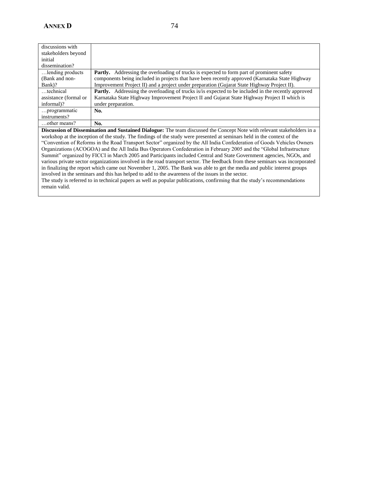| discussions with                                                                                                               |                                                                                                            |
|--------------------------------------------------------------------------------------------------------------------------------|------------------------------------------------------------------------------------------------------------|
| stakeholders beyond                                                                                                            |                                                                                                            |
| initial                                                                                                                        |                                                                                                            |
| dissemination?                                                                                                                 |                                                                                                            |
| lending products                                                                                                               | <b>Partly.</b> Addressing the overloading of trucks is expected to form part of prominent safety           |
| (Bank and non-                                                                                                                 | components being included in projects that have been recently approved (Karnataka State Highway            |
| Bank)?                                                                                                                         | Improvement Project II) and a project under preparation (Gujarat State Highway Project II).                |
| technical                                                                                                                      | <b>Partly.</b> Addressing the overloading of trucks is/is expected to be included in the recently approved |
| assistance (formal or                                                                                                          | Karnataka State Highway Improvement Project II and Gujarat State Highway Project II which is               |
| informal)?                                                                                                                     | under preparation.                                                                                         |
| programmatic                                                                                                                   | No.                                                                                                        |
| instruments?                                                                                                                   |                                                                                                            |
| other means?                                                                                                                   | No.                                                                                                        |
| <b>Discussion of Dissemination and Sustained Dialogue:</b> The team discussed the Concent Note with relevant stakeholders in a |                                                                                                            |

**Discussion of Dissemination and Sustained Dialogue:** The team discussed the Concept Note with relevant stakeholders in a workshop at the inception of the study. The findings of the study were presented at seminars held in the context of the ―Convention of Reforms in the Road Transport Sector‖ organized by the All India Confederation of Goods Vehicles Owners Organizations (ACOGOA) and the All India Bus Operators Confederation in February 2005 and the "Global Infrastructure Summit" organized by FICCI in March 2005 and Participants included Central and State Government agencies, NGOs, and various private sector organizations involved in the road transport sector. The feedback from these seminars was incorporated in finalizing the report which came out November 1, 2005. The Bank was able to get the media and public interest groups involved in the seminars and this has helped to add to the awareness of the issues in the sector.

The study is referred to in technical papers as well as popular publications, confirming that the study's recommendations remain valid.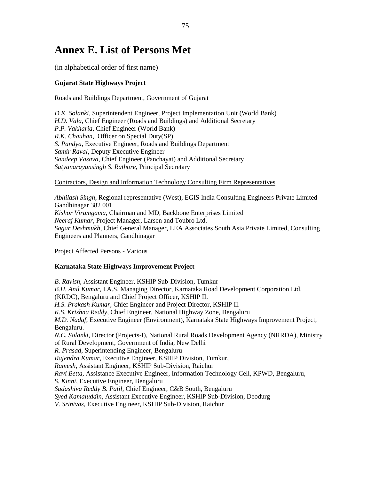### <span id="page-56-0"></span>**Annex E. List of Persons Met**

(in alphabetical order of first name)

#### **Gujarat State Highways Project**

#### Roads and Buildings Department, Government of Gujarat

*D.K. Solanki*, Superintendent Engineer, Project Implementation Unit (World Bank) *H.D. Vala*, Chief Engineer (Roads and Buildings) and Additional Secretary *P.P. Vakharia*, Chief Engineer (World Bank) *R.K. Chauhan*, Officer on Special Duty(SP) *S. Pandya*, Executive Engineer, Roads and Buildings Department *Samir Raval*, Deputy Executive Engineer *Sandeep Vasava*, Chief Engineer (Panchayat) and Additional Secretary *Satyanarayansingh S. Rathore*, Principal Secretary

#### Contractors, Design and Information Technology Consulting Firm Representatives

*Abhilash Singh*, Regional representative (West), EGIS India Consulting Engineers Private Limited Gandhinagar 382 001 *Kishor Viramgama*, Chairman and MD, Backbone Enterprises Limited *Neeraj Kumar*, Project Manager, Larsen and Toubro Ltd. *Sagar Deshmukh*, Chief General Manager, LEA Associates South Asia Private Limited, Consulting Engineers and Planners, Gandhinagar

Project Affected Persons - Various

#### **Karnataka State Highways Improvement Project**

*B. Ravish*, Assistant Engineer, KSHIP Sub-Division, Tumkur *B.H. Anil Kumar*, I.A.S, Managing Director, Karnataka Road Development Corporation Ltd. (KRDC), Bengaluru and Chief Project Officer, KSHIP II. *H.S. Prakash Kumar,* Chief Engineer and Project Director, KSHIP II. *K.S. Krishna Reddy*, Chief Engineer, National Highway Zone, Bengaluru *M.D. Nadaf*, Executive Engineer (Environment), Karnataka State Highways Improvement Project, Bengaluru. *N.C. Solanki*, Director (Projects-I), National Rural Roads Development Agency (NRRDA), Ministry of Rural Development, Government of India, New Delhi *R. Prasad*, Superintending Engineer, Bengaluru *Rajendra Kumar*, Executive Engineer, KSHIP Division, Tumkur, *Ramesh*, Assistant Engineer, KSHIP Sub-Division, Raichur *Ravi Betta*, Assistance Executive Engineer, Information Technology Cell, KPWD, Bengaluru, *S. Kinni*, Executive Engineer, Bengaluru *Sadashiva Reddy B. Patil*, Chief Engineer, C&B South, Bengaluru *Syed Kamaluddin*, Assistant Executive Engineer, KSHIP Sub-Division, Deodurg *V. Srinivas*, Executive Engineer, KSHIP Sub-Division, Raichur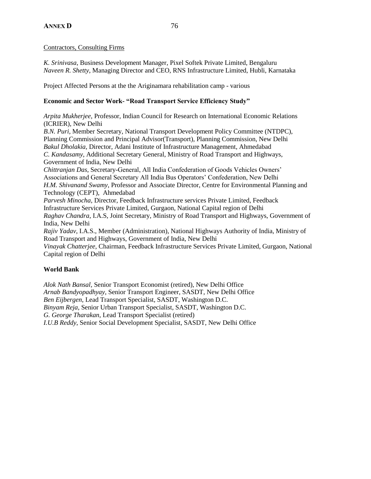#### Contractors, Consulting Firms

*K. Srinivasa*, Business Development Manager, Pixel Softek Private Limited, Bengaluru *Naveen R. Shetty*, Managing Director and CEO, RNS Infrastructure Limited, Hubli, Karnataka

Project Affected Persons at the the Ariginamara rehabilitation camp - various

#### **Economic and Sector Work- "Road Transport Service Efficiency Study"**

*Arpita Mukherjee*, Professor, Indian Council for Research on International Economic Relations (ICRIER), New Delhi *B.N. Puri,* Member Secretary, National Transport Development Policy Committee (NTDPC),

Planning Commission and Principal Advisor(Transport), Planning Commission, New Delhi *Bakul Dholakia,* Director, Adani Institute of Infrastructure Management, Ahmedabad *C. Kandasamy,* Additional Secretary General, Ministry of Road Transport and Highways, Government of India, New Delhi *Chittranjan Das*, Secretary-General, All India Confederation of Goods Vehicles Owners' Associations and General Secretary All India Bus Operators' Confederation, New Delhi *H.M. Shivanand Swamy*, Professor and Associate Director, Centre for Environmental Planning and Technology (CEPT), Ahmedabad *Parvesh Minocha*, Director, Feedback Infrastructure services Private Limited, Feedback Infrastructure Services Private Limited, Gurgaon, National Capital region of Delhi *Raghav Chandra*, I.A.S, Joint Secretary, Ministry of Road Transport and Highways, Government of India, New Delhi *Rajiv Yadav*, I.A.S., Member (Administration), National Highways Authority of India, Ministry of Road Transport and Highways, Government of India, New Delhi *Vinayak Chatterjee*, Chairman, Feedback Infrastructure Services Private Limited, Gurgaon, National Capital region of Delhi

#### **World Bank**

*Alok Nath Bansal,* Senior Transport Economist (retired), New Delhi Office *Arnab Bandyopadhyay*, Senior Transport Engineer, SASDT, New Delhi Office *Ben Eijbergen*, Lead Transport Specialist, SASDT, Washington D.C. *Binyam Reja*, Senior Urban Transport Specialist, SASDT, Washington D.C. *G. George Tharakan*, Lead Transport Specialist (retired) *I.U.B Reddy*, Senior Social Development Specialist, SASDT, New Delhi Office